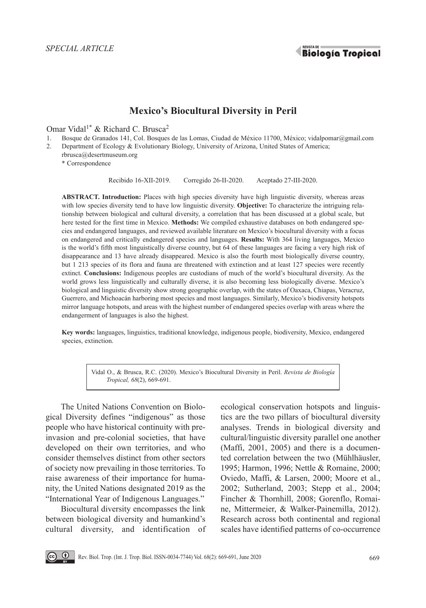**Biología Tropical** 

# **Mexico's Biocultural Diversity in Peril**

# Omar Vidal<sup>1\*</sup> & Richard C. Brusca<sup>2</sup>

- 1. Bosque de Granados 141, Col. Bosques de las Lomas, Ciudad de México 11700, México; vidalpomar@gmail.com
- 2. Department of Ecology & Evolutionary Biology, University of Arizona, United States of America;
- rbrusca@desertmuseum.org \* Correspondence

Recibido 16-XII-2019. Corregido 26-II-2020. Aceptado 27-III-2020.

**ABSTRACT. Introduction:** Places with high species diversity have high linguistic diversity, whereas areas with low species diversity tend to have low linguistic diversity. **Objective:** To characterize the intriguing relationship between biological and cultural diversity, a correlation that has been discussed at a global scale, but here tested for the first time in Mexico. **Methods:** We compiled exhaustive databases on both endangered species and endangered languages, and reviewed available literature on Mexico's biocultural diversity with a focus on endangered and critically endangered species and languages. **Results:** With 364 living languages, Mexico is the world's fifth most linguistically diverse country, but 64 of these languages are facing a very high risk of disappearance and 13 have already disappeared. Mexico is also the fourth most biologically diverse country, but 1 213 species of its flora and fauna are threatened with extinction and at least 127 species were recently extinct. **Conclusions:** Indigenous peoples are custodians of much of the world's biocultural diversity. As the world grows less linguistically and culturally diverse, it is also becoming less biologically diverse. Mexico's biological and linguistic diversity show strong geographic overlap, with the states of Oaxaca, Chiapas, Veracruz, Guerrero, and Michoacán harboring most species and most languages. Similarly, Mexico's biodiversity hotspots mirror language hotspots, and areas with the highest number of endangered species overlap with areas where the endangerment of languages is also the highest.

**Key words:** languages, linguistics, traditional knowledge, indigenous people, biodiversity, Mexico, endangered species, extinction.

Vidal O., & Brusca, R.C. (2020). Mexico's Biocultural Diversity in Peril. *Revista de Biología Tropical, 68*(2), 669-691.

The United Nations Convention on Biological Diversity defines "indigenous" as those people who have historical continuity with preinvasion and pre-colonial societies, that have developed on their own territories, and who consider themselves distinct from other sectors of society now prevailing in those territories. To raise awareness of their importance for humanity, the United Nations designated 2019 as the "International Year of Indigenous Languages."

Biocultural diversity encompasses the link between biological diversity and humankind's cultural diversity, and identification of ecological conservation hotspots and linguistics are the two pillars of biocultural diversity analyses. Trends in biological diversity and cultural/linguistic diversity parallel one another (Maffi, 2001, 2005) and there is a documented correlation between the two (Mühlhäusler, 1995; Harmon, 1996; Nettle & Romaine, 2000; Oviedo, Maffi, & Larsen, 2000; Moore et al., 2002; Sutherland, 2003; Stepp et al., 2004; Fincher & Thornhill, 2008; Gorenflo, Romaine, Mittermeier, & Walker-Painemilla, 2012). Research across both continental and regional scales have identified patterns of co-occurrence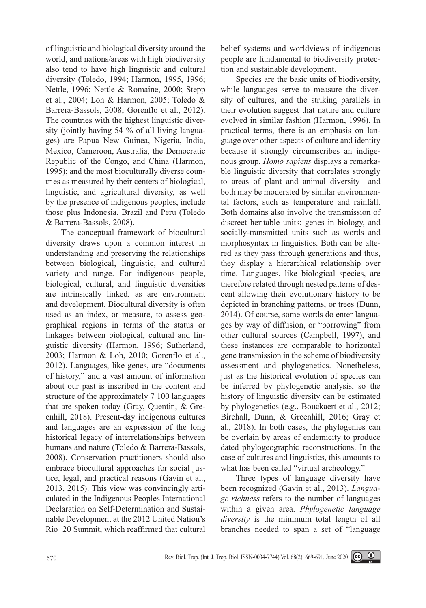of linguistic and biological diversity around the world, and nations/areas with high biodiversity also tend to have high linguistic and cultural diversity (Toledo, 1994; Harmon, 1995, 1996; Nettle, 1996; Nettle & Romaine, 2000; Stepp et al., 2004; Loh & Harmon, 2005; Toledo & Barrera-Bassols, 2008; Gorenflo et al., 2012). The countries with the highest linguistic diversity (jointly having 54 % of all living languages) are Papua New Guinea, Nigeria, India, Mexico, Cameroon, Australia, the Democratic Republic of the Congo, and China (Harmon, 1995); and the most bioculturally diverse countries as measured by their centers of biological, linguistic, and agricultural diversity, as well by the presence of indigenous peoples, include those plus Indonesia, Brazil and Peru (Toledo & Barrera-Bassols, 2008).

The conceptual framework of biocultural diversity draws upon a common interest in understanding and preserving the relationships between biological, linguistic, and cultural variety and range. For indigenous people, biological, cultural, and linguistic diversities are intrinsically linked, as are environment and development. Biocultural diversity is often used as an index, or measure, to assess geographical regions in terms of the status or linkages between biological, cultural and linguistic diversity (Harmon, 1996; Sutherland, 2003; Harmon & Loh, 2010; Gorenflo et al., 2012). Languages, like genes, are "documents of history," and a vast amount of information about our past is inscribed in the content and structure of the approximately 7 100 languages that are spoken today (Gray, Quentin, & Greenhill, 2018). Present-day indigenous cultures and languages are an expression of the long historical legacy of interrelationships between humans and nature (Toledo & Barrera-Bassols, 2008). Conservation practitioners should also embrace biocultural approaches for social justice, legal, and practical reasons (Gavin et al., 2013, 2015). This view was convincingly articulated in the Indigenous Peoples International Declaration on Self-Determination and Sustainable Development at the 2012 United Nation's Rio+20 Summit, which reaffirmed that cultural

belief systems and worldviews of indigenous people are fundamental to biodiversity protection and sustainable development.

Species are the basic units of biodiversity, while languages serve to measure the diversity of cultures, and the striking parallels in their evolution suggest that nature and culture evolved in similar fashion (Harmon, 1996). In practical terms, there is an emphasis on language over other aspects of culture and identity because it strongly circumscribes an indigenous group. *Homo sapiens* displays a remarkable linguistic diversity that correlates strongly to areas of plant and animal diversity—and both may be moderated by similar environmental factors, such as temperature and rainfall. Both domains also involve the transmission of discreet heritable units: genes in biology, and socially-transmitted units such as words and morphosyntax in linguistics. Both can be altered as they pass through generations and thus, they display a hierarchical relationship over time. Languages, like biological species, are therefore related through nested patterns of descent allowing their evolutionary history to be depicted in branching patterns, or trees (Dunn, 2014). Of course, some words do enter languages by way of diffusion, or "borrowing" from other cultural sources (Campbell, 1997), and these instances are comparable to horizontal gene transmission in the scheme of biodiversity assessment and phylogenetics. Nonetheless, just as the historical evolution of species can be inferred by phylogenetic analysis, so the history of linguistic diversity can be estimated by phylogenetics (e.g., Bouckaert et al., 2012; Birchall, Dunn, & Greenhill, 2016; Gray et al., 2018). In both cases, the phylogenies can be overlain by areas of endemicity to produce dated phylogeographic reconstructions. In the case of cultures and linguistics, this amounts to what has been called "virtual archeology."

Three types of language diversity have been recognized (Gavin et al., 2013). *Language richness* refers to the number of languages within a given area. *Phylogenetic language diversity* is the minimum total length of all branches needed to span a set of "language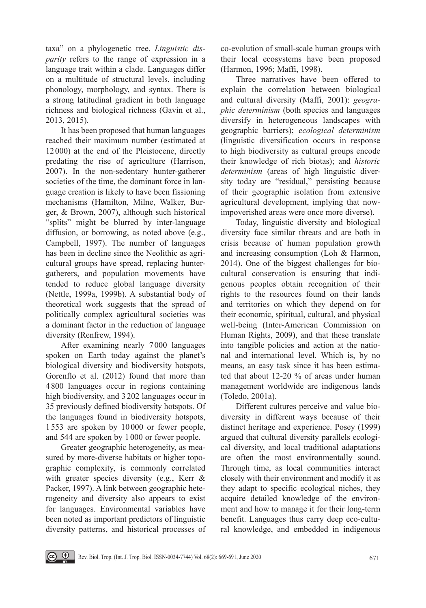taxa" on a phylogenetic tree. *Linguistic disparity* refers to the range of expression in a language trait within a clade. Languages differ on a multitude of structural levels, including phonology, morphology, and syntax. There is a strong latitudinal gradient in both language richness and biological richness (Gavin et al., 2013, 2015).

It has been proposed that human languages reached their maximum number (estimated at 12000) at the end of the Pleistocene, directly predating the rise of agriculture (Harrison, 2007). In the non-sedentary hunter-gatherer societies of the time, the dominant force in language creation is likely to have been fissioning mechanisms (Hamilton, Milne, Walker, Burger, & Brown, 2007), although such historical "splits" might be blurred by inter-language diffusion, or borrowing, as noted above (e.g., Campbell, 1997). The number of languages has been in decline since the Neolithic as agricultural groups have spread, replacing huntergatherers, and population movements have tended to reduce global language diversity (Nettle, 1999a, 1999b). A substantial body of theoretical work suggests that the spread of politically complex agricultural societies was a dominant factor in the reduction of language diversity (Renfrew, 1994).

After examining nearly 7000 languages spoken on Earth today against the planet's biological diversity and biodiversity hotspots, Gorenflo et al. (2012) found that more than 4800 languages occur in regions containing high biodiversity, and 3202 languages occur in 35 previously defined biodiversity hotspots. Of the languages found in biodiversity hotspots, 1553 are spoken by 10000 or fewer people, and 544 are spoken by 1 000 or fewer people.

Greater geographic heterogeneity, as measured by more-diverse habitats or higher topographic complexity, is commonly correlated with greater species diversity (e.g., Kerr & Packer, 1997). A link between geographic heterogeneity and diversity also appears to exist for languages. Environmental variables have been noted as important predictors of linguistic diversity patterns, and historical processes of co-evolution of small-scale human groups with their local ecosystems have been proposed (Harmon, 1996; Maffi, 1998).

Three narratives have been offered to explain the correlation between biological and cultural diversity (Maffi, 2001): *geographic determinism* (both species and languages diversify in heterogeneous landscapes with geographic barriers); *ecological determinism* (linguistic diversification occurs in response to high biodiversity as cultural groups encode their knowledge of rich biotas); and *historic determinism* (areas of high linguistic diversity today are "residual," persisting because of their geographic isolation from extensive agricultural development, implying that nowimpoverished areas were once more diverse).

Today, linguistic diversity and biological diversity face similar threats and are both in crisis because of human population growth and increasing consumption (Loh & Harmon, 2014). One of the biggest challenges for biocultural conservation is ensuring that indigenous peoples obtain recognition of their rights to the resources found on their lands and territories on which they depend on for their economic, spiritual, cultural, and physical well-being (Inter-American Commission on Human Rights, 2009), and that these translate into tangible policies and action at the national and international level. Which is, by no means, an easy task since it has been estimated that about 12-20 % of areas under human management worldwide are indigenous lands (Toledo, 2001a).

Different cultures perceive and value biodiversity in different ways because of their distinct heritage and experience. Posey (1999) argued that cultural diversity parallels ecological diversity, and local traditional adaptations are often the most environmentally sound. Through time, as local communities interact closely with their environment and modify it as they adapt to specific ecological niches, they acquire detailed knowledge of the environment and how to manage it for their long-term benefit. Languages thus carry deep eco-cultural knowledge, and embedded in indigenous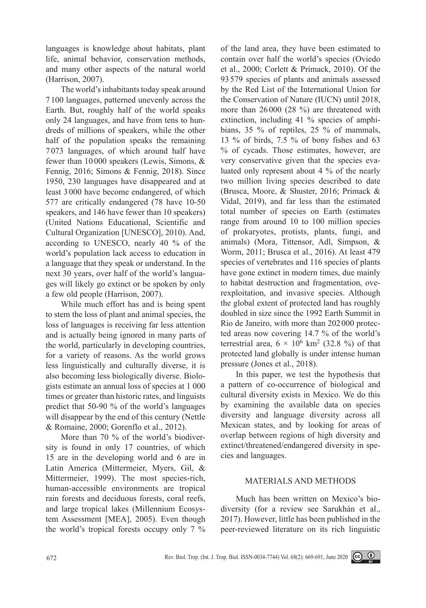languages is knowledge about habitats, plant life, animal behavior, conservation methods, and many other aspects of the natural world (Harrison, 2007).

The world's inhabitants today speak around 7100 languages, patterned unevenly across the Earth. But, roughly half of the world speaks only 24 languages, and have from tens to hundreds of millions of speakers, while the other half of the population speaks the remaining 7073 languages, of which around half have fewer than 10 000 speakers (Lewis, Simons, & Fennig, 2016; Simons & Fennig, 2018). Since 1950, 230 languages have disappeared and at least 3000 have become endangered, of which 577 are critically endangered (78 have 10-50 speakers, and 146 have fewer than 10 speakers) (United Nations Educational, Scientific and Cultural Organization [UNESCO], 2010). And, according to UNESCO, nearly 40 % of the world's population lack access to education in a language that they speak or understand. In the next 30 years, over half of the world's languages will likely go extinct or be spoken by only a few old people (Harrison, 2007).

While much effort has and is being spent to stem the loss of plant and animal species, the loss of languages is receiving far less attention and is actually being ignored in many parts of the world, particularly in developing countries, for a variety of reasons. As the world grows less linguistically and culturally diverse, it is also becoming less biologically diverse. Biologists estimate an annual loss of species at 1 000 times or greater than historic rates, and linguists predict that 50-90 % of the world's languages will disappear by the end of this century (Nettle & Romaine, 2000; Gorenflo et al., 2012).

More than 70 % of the world's biodiversity is found in only 17 countries, of which 15 are in the developing world and 6 are in Latin America (Mittermeier, Myers, Gil, & Mittermeier, 1999). The most species-rich, human-accessible environments are tropical rain forests and deciduous forests, coral reefs, and large tropical lakes (Millennium Ecosystem Assessment [MEA], 2005). Even though the world's tropical forests occupy only 7 % of the land area, they have been estimated to contain over half the world's species (Oviedo et al., 2000; Corlett & Primack, 2010). Of the 93579 species of plants and animals assessed by the Red List of the International Union for the Conservation of Nature (IUCN) until 2018, more than 26000 (28 %) are threatened with extinction, including 41 % species of amphibians, 35 % of reptiles, 25 % of mammals, 13 % of birds, 7.5 % of bony fishes and 63 % of cycads. Those estimates, however, are very conservative given that the species evaluated only represent about 4 % of the nearly two million living species described to date (Brusca, Moore, & Shuster, 2016; Primack & Vidal, 2019), and far less than the estimated total number of species on Earth (estimates range from around 10 to 100 million species of prokaryotes, protists, plants, fungi, and animals) (Mora, Tittensor, Adl, Simpson, & Worm, 2011; Brusca et al., 2016). At least 479 species of vertebrates and 116 species of plants have gone extinct in modern times, due mainly to habitat destruction and fragmentation, overexploitation, and invasive species. Although the global extent of protected land has roughly doubled in size since the 1992 Earth Summit in Rio de Janeiro, with more than 202000 protected areas now covering 14.7 % of the world's terrestrial area,  $6 \times 10^6$  km<sup>2</sup> (32.8 %) of that protected land globally is under intense human pressure (Jones et al., 2018).

In this paper, we test the hypothesis that a pattern of co-occurrence of biological and cultural diversity exists in Mexico. We do this by examining the available data on species diversity and language diversity across all Mexican states, and by looking for areas of overlap between regions of high diversity and extinct/threatened/endangered diversity in species and languages.

# MATERIALS AND METHODS

Much has been written on Mexico's biodiversity (for a review see Sarukhán et al., 2017). However, little has been published in the peer-reviewed literature on its rich linguistic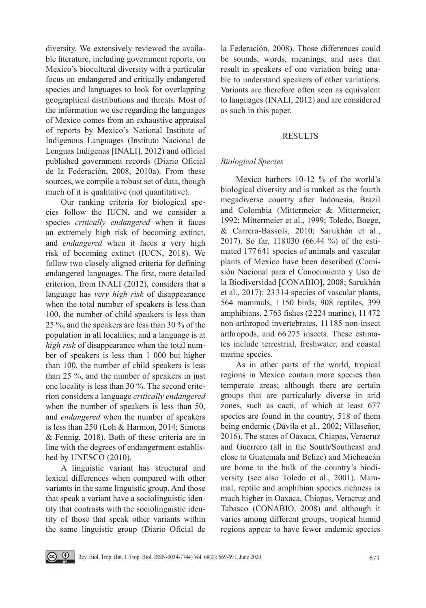diversity. We extensively reviewed the available literature, including government reports, on Mexico's biocultural diversity with a particular focus on endangered and critically endangered species and languages to look for overlapping geographical distributions and threats. Most of the information we use regarding the languages of Mexico comes from an exhaustive appraisal of reports by Mexico's National Institute of Indigenous Languages (Instituto Nacional de Lenguas Indígenas [INALI], 2012) and official published government records (Diario Oficial de la Federación, 2008, 2010a). From these sources, we compile a robust set of data, though much of it is qualitative (not quantitative).

Our ranking criteria for biological species follow the IUCN, and we consider a species *critically endangered* when it faces an extremely high risk of becoming extinct, and *endangered* when it faces a very high risk of becoming extinct (IUCN, 2018). We follow two closely aligned criteria for defining endangered languages. The first, more detailed criterion, from INALI (2012), considers that a language has *very high risk* of disappearance when the total number of speakers is less than 100, the number of child speakers is less than 25 %, and the speakers are less than 30 % of the population in all localities; and a language is at *high risk* of disappearance when the total number of speakers is less than 1 000 but higher than 100, the number of child speakers is less than 25 %, and the number of speakers in just one locality is less than 30 %. The second criterion considers a language *critically endangered* when the number of speakers is less than 50, and *endangered* when the number of speakers is less than 250 (Loh & Harmon, 2014; Simons & Fennig, 2018). Both of these criteria are in line with the degrees of endangerment established by UNESCO (2010).

A linguistic variant has structural and lexical differences when compared with other variants in the same linguistic group. And those that speak a variant have a sociolinguistic identity that contrasts with the sociolinguistic identity of those that speak other variants within the same linguistic group (Diario Oficial de

la Federación, 2008). Those differences could be sounds, words, meanings, and uses that result in speakers of one variation being unable to understand speakers of other variations. Variants are therefore often seen as equivalent to languages (INALI, 2012) and are considered as such in this paper.

### RESULTS

#### *Biological Species*

Mexico harbors 10-12 % of the world's biological diversity and is ranked as the fourth megadiverse country after Indonesia, Brazil and Colombia (Mittermeier & Mittermeier, 1992; Mittermeier et al., 1999; Toledo, Boege, & Carrera-Bassols, 2010; Sarukhán et al., 2017). So far, 118 030 (66.44 %) of the estimated 177 641 species of animals and vascular plants of Mexico have been described (Comisión Nacional para el Conocimiento y Uso de la Biodiversidad [CONABIO], 2008; Sarukhán et al., 2017): 23314 species of vascular plants, 564 mammals, 1150 birds, 908 reptiles, 399 amphibians, 2763 fishes (2 224 marine), 11 472 non-arthropod invertebrates, 11185 non-insect arthropods, and 66 275 insects. These estimates include terrestrial, freshwater, and coastal marine species.

As in other parts of the world, tropical regions in Mexico contain more species than temperate areas; although there are certain groups that are particularly diverse in arid zones, such as cacti, of which at least 677 species are found in the country, 518 of them being endemic (Dávila et al., 2002; Villaseñor, 2016). The states of Oaxaca, Chiapas, Veracruz and Guerrero (all in the South/Southeast and close to Guatemala and Belize) and Michoacán are home to the bulk of the country's biodiversity (see also Toledo et al., 2001). Mammal, reptile and amphibian species richness is much higher in Oaxaca, Chiapas, Veracruz and Tabasco (CONABIO, 2008) and although it varies among different groups, tropical humid regions appear to have fewer endemic species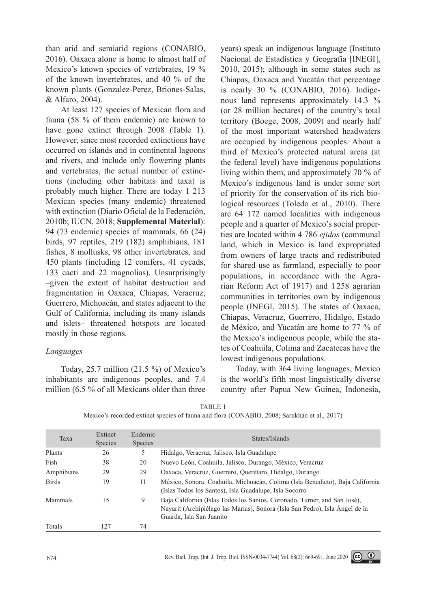than arid and semiarid regions (CONABIO, 2016). Oaxaca alone is home to almost half of Mexico's known species of vertebrates, 19 % of the known invertebrates, and 40 % of the known plants (Gonzalez-Perez, Briones-Salas, & Alfaro, 2004).

At least 127 species of Mexican flora and fauna (58 % of them endemic) are known to have gone extinct through 2008 (Table 1). However, since most recorded extinctions have occurred on islands and in continental lagoons and rivers, and include only flowering plants and vertebrates, the actual number of extinctions (including other habitats and taxa) is probably much higher. There are today 1 213 Mexican species (many endemic) threatened with extinction (Diario Oficial de la Federación, 2010b; IUCN, 2018; **Supplemental Material**): 94 (73 endemic) species of mammals, 66 (24) birds, 97 reptiles, 219 (182) amphibians, 181 fishes, 8 mollusks, 98 other invertebrates, and 450 plants (including 12 conifers, 41 cycads, 133 cacti and 22 magnolias). Unsurprisingly –given the extent of habitat destruction and fragmentation in Oaxaca, Chiapas, Veracruz, Guerrero, Michoacán, and states adjacent to the Gulf of California, including its many islands and islets– threatened hotspots are located mostly in those regions.

# *Languages*

Today, 25.7 million (21.5 %) of Mexico's inhabitants are indigenous peoples, and 7.4 million (6.5 % of all Mexicans older than three years) speak an indigenous language (Instituto Nacional de Estadística y Geografía [INEGI], 2010, 2015); although in some states such as Chiapas, Oaxaca and Yucatán that percentage is nearly 30 % (CONABIO, 2016). Indigenous land represents approximately 14.3 % (or 28 million hectares) of the country's total territory (Boege, 2008, 2009) and nearly half of the most important watershed headwaters are occupied by indigenous peoples. About a third of Mexico's protected natural areas (at the federal level) have indigenous populations living within them, and approximately 70 % of Mexico's indigenous land is under some sort of priority for the conservation of its rich biological resources (Toledo et al., 2010). There are 64 172 named localities with indigenous people and a quarter of Mexico's social properties are located within 4 786 *ejidos* (communal land, which in Mexico is land expropriated from owners of large tracts and redistributed for shared use as farmland, especially to poor populations, in accordance with the Agrarian Reform Act of 1917) and 1 258 agrarian communities in territories own by indigenous people (INEGI, 2015). The states of Oaxaca, Chiapas, Veracruz, Guerrero, Hidalgo, Estado de México, and Yucatán are home to 77 % of the Mexico's indigenous people, while the states of Coahuila, Colima and Zacatecas have the lowest indigenous populations.

Today, with 364 living languages, Mexico is the world's fifth most linguistically diverse country after Papua New Guinea, Indonesia,

|--|--|--|

Mexico's recorded extinct species of fauna and flora (CONABIO, 2008; Sarukhán et al., 2017)

| Taxa         | Extinct<br><b>Species</b> | Endemic<br><b>Species</b> | States/Islands                                                                                                                                                                        |
|--------------|---------------------------|---------------------------|---------------------------------------------------------------------------------------------------------------------------------------------------------------------------------------|
| Plants       | 26                        | 5.                        | Hidalgo, Veracruz, Jalisco, Isla Guadalupe                                                                                                                                            |
| Fish         | 38                        | 20                        | Nuevo León, Coahuila, Jalisco, Durango, México, Veracruz                                                                                                                              |
| Amphibians   | 29                        | 29                        | Oaxaca, Veracruz, Guerrero, Querétaro, Hidalgo, Durango                                                                                                                               |
| <b>Birds</b> | 19                        | 11                        | México, Sonora, Coahuila, Michoacán, Colima (Isla Benedicto), Baja California<br>(Islas Todos los Santos), Isla Guadalupe, Isla Socorro                                               |
| Mammals      | 15                        | 9                         | Baja California (Islas Todos los Santos, Coronado, Turner, and San José),<br>Nayarit (Archipiélago las Marías), Sonora (Isla San Pedro), Isla Ángel de la<br>Guarda, Isla San Juanito |
| Totals       | 127                       | 74                        |                                                                                                                                                                                       |

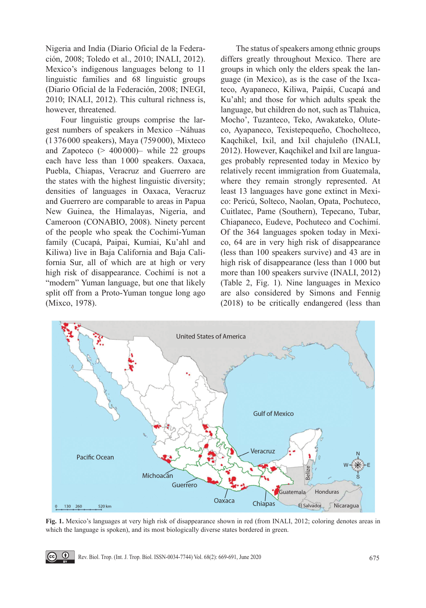Nigeria and India (Diario Oficial de la Federación, 2008; Toledo et al., 2010; INALI, 2012). Mexico's indigenous languages belong to 11 linguistic families and 68 linguistic groups (Diario Oficial de la Federación, 2008; INEGI, 2010; INALI, 2012). This cultural richness is, however, threatened.

Four linguistic groups comprise the largest numbers of speakers in Mexico –Náhuas (1 376000 speakers), Maya (759000), Mixteco and Zapoteco  $(> 400000)$  while 22 groups each have less than 1000 speakers. Oaxaca, Puebla, Chiapas, Veracruz and Guerrero are the states with the highest linguistic diversity; densities of languages in Oaxaca, Veracruz and Guerrero are comparable to areas in Papua New Guinea, the Himalayas, Nigeria, and Cameroon (CONABIO, 2008). Ninety percent of the people who speak the Cochimí-Yuman family (Cucapá, Paipai, Kumiai, Ku'ahl and Kiliwa) live in Baja California and Baja California Sur, all of which are at high or very high risk of disappearance. Cochimí is not a "modern" Yuman language, but one that likely split off from a Proto-Yuman tongue long ago (Mixco, 1978).

The status of speakers among ethnic groups differs greatly throughout Mexico. There are groups in which only the elders speak the language (in Mexico), as is the case of the Ixcateco, Ayapaneco, Kiliwa, Paipái, Cucapá and Ku'ahl; and those for which adults speak the language, but children do not, such as Tlahuica, Mocho', Tuzanteco, Teko, Awakateko, Oluteco, Ayapaneco, Texistepequeño, Chocholteco, Kaqchikel, Ixil, and Ixil chajuleño (INALI, 2012). However, Kaqchikel and Ixil are languages probably represented today in Mexico by relatively recent immigration from Guatemala, where they remain strongly represented. At least 13 languages have gone extinct in Mexico: Pericú, Solteco, Naolan, Opata, Pochuteco, Cuitlatec, Pame (Southern), Tepecano, Tubar, Chiapaneco, Eudeve, Pochuteco and Cochimí. Of the 364 languages spoken today in Mexico, 64 are in very high risk of disappearance (less than 100 speakers survive) and 43 are in high risk of disappearance (less than 1000 but more than 100 speakers survive (INALI, 2012) (Table 2, Fig. 1). Nine languages in Mexico are also considered by Simons and Fennig (2018) to be critically endangered (less than



**Fig. 1.** Mexico's languages at very high risk of disappearance shown in red (from INALI, 2012; coloring denotes areas in which the language is spoken), and its most biologically diverse states bordered in green.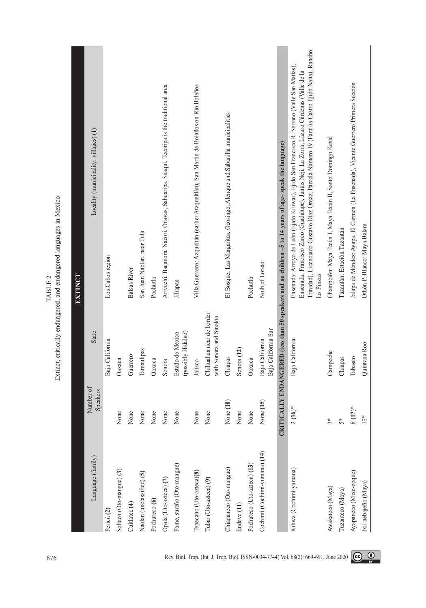|                               |                       |                                                     | <b>EXTINCT</b>                                                                                                                                                                                                                                                                                               |
|-------------------------------|-----------------------|-----------------------------------------------------|--------------------------------------------------------------------------------------------------------------------------------------------------------------------------------------------------------------------------------------------------------------------------------------------------------------|
| Language (family)             | Number of<br>Speakers | State                                               | Locality (municipality: villages) (1)                                                                                                                                                                                                                                                                        |
| Pericú <sub>(2)</sub>         |                       | Baja California                                     | Los Cabos region                                                                                                                                                                                                                                                                                             |
| Solteco (Oto-mangue) (3)      | None                  | Оахаса                                              |                                                                                                                                                                                                                                                                                                              |
| Cuitlatec (4)                 | None                  | Guerrero                                            | <b>Balsas River</b>                                                                                                                                                                                                                                                                                          |
| Naolan (unclassified) (5)     | None                  | Tamaulipas                                          | San Juan Naolan, near Tula                                                                                                                                                                                                                                                                                   |
| Pochuteco (6)                 | None                  | Оахаса                                              | Pochutla                                                                                                                                                                                                                                                                                                     |
| Opata (Uto-azteca) (7)        | None                  | Sonora                                              | Arivechi, Bacanora, Nacori, Onavas, Sahuaripa, Suaqui. Tecoripa is the traditional area                                                                                                                                                                                                                      |
| Pame, sureño (Oto-mangue)     | None                  | (possibly Hidalgo)<br>Estado de Mexico              | Jiliapan                                                                                                                                                                                                                                                                                                     |
| Tepecano (Uto-azteca)(8)      | None                  | Jalisco                                             | Villa Guerrero: Azqueltán (earlier Atzqueltlán), San Martin de Bolaños on Rio Bolaños                                                                                                                                                                                                                        |
| Tubar (Uto-azteca) (9)        | None                  | Chihuahua near de border<br>with Sonora and Sinaloa |                                                                                                                                                                                                                                                                                                              |
| Chiapaneco (Oto-mangue)       | $\sqrt{one}$ $(10)$   | Chiapas                                             | El Bosque, Las Margaritas, Ocosingo, Alenque and Sabanilla municipalities                                                                                                                                                                                                                                    |
| Eudeve <sub>(11)</sub>        | None                  | Sonora <sub>(12)</sub>                              |                                                                                                                                                                                                                                                                                                              |
| Pochuteco (Uto-azteca) (13)   | None                  | Оахаса                                              | Pochutla                                                                                                                                                                                                                                                                                                     |
| Cochimi (Cochimi-yumana) (14) | None (15)             | Baja California Sur<br>Baja California              | Noth of Loreto                                                                                                                                                                                                                                                                                               |
|                               | <b>CRIT</b>           |                                                     | IICALLY ENDANGERED (less than 50 speakers and no children –5 to 14 years of age– speak the language)                                                                                                                                                                                                         |
| Kiliwa (Cochimi-yumana)       | $2(16)*$              | Baja California                                     | Trinidad), Licenciado Gustavo Díaz Ordaz, Parcela Número 19 (Familia Castro Ejido Nalta), Rancho<br>Ensenada: Arroyo de León (Ejido Kiliwas), Ejido San Francisco R. Serrano (Valle San Matías),<br>Ensenada, Francisco Zarco (Guadalupe), Juntas Neji, La Zorra, Lázaro Cárdenas (Valle de la<br>las Pinzas |
| Awakateco (Maya)              | ¥.                    | Campeche                                            | Champotón: Maya Tecún I, Maya Tecún II, Santo Domingo Kesté                                                                                                                                                                                                                                                  |
| Tuzanteco (Maya)              | 5*                    | Chiapas                                             | Tuzantán: Estación Tuzantán                                                                                                                                                                                                                                                                                  |
| Ayapaneco (Mixe-zoque)        | $(17)^*$              | Tabasco                                             | Jalapa de Méndez: Ayapa, El Carmen (La Ensenada), Vicente Guerrero Primera Sección                                                                                                                                                                                                                           |
| Ixil nebajeño (Maya)          | $12*$                 | Quintana Roo                                        | Othón P. Blanco: Maya Balam                                                                                                                                                                                                                                                                                  |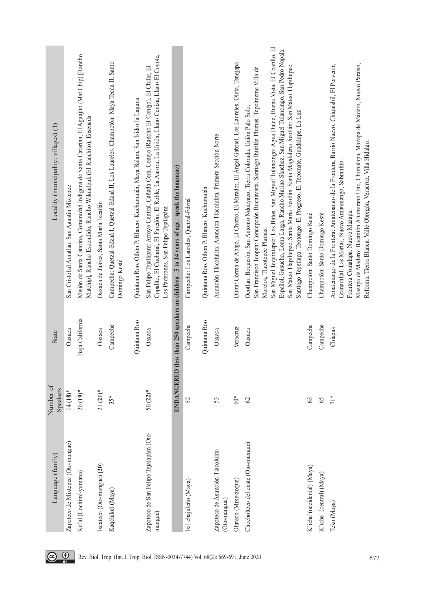| Locality (municipality: villages) (1) | San Cristóbal Amatlán: San Agustín Mixtepec | Misión de Santa Catarina, Comunidad Indígena de Santa Catarina, El Aguajito (Mat Chip) [Rancho<br>Matchip], Rancho Escondido, Rancho Wikualpuk (El Ranchito), Ensenada | Oaxaca de Juárez, Santa María Ixcatlán | Campeche: Quetzal-Edzná I, Quetzal-Edzná II, Los Laureles. Champotón: Maya Tecún II, Santo<br>Domingo Kesté | Quintana Roo. Othón P. Blanco: Kuchumatán, Maya Balam, San Isidro la Laguna | Copalito, El Cucharal, El Paredón, El Roble, La Aurora, La Unión, Llano Ceniza, Llano El Coyote,<br>San Felipe Tejalápam: Arroyo Central, Cañada Cera, Conejo (Rancho El Conejo), El Chilar, El<br>Los Paderones, San Felipe Tejalapám | ENDANGERED (less than 250 speakers no children -5 to 14 years of age- speak the language) | Campeche: Los Laureles, Quetzal-Edzná | Quintana Roo. Othón P. Blanco: Kuchumatán | Asunción Tlacolulita: Asunción Tlacolulita, Primera Sección Norte | Oluta: Correa de Abajo, El Chorro, El Mirador, El Ángel Gabriel, Los Laureles, Oluta, Tenejapa | San Miguel Tequixtepec: Los Batos. San Miguel Tulancingo: Agua Dulce, Buena Vista, El Coatillo, El<br>Español, Gasucho, Loma Larga, Rancho Marino Sánchez, San Miguel Tulancingo. San Pedro Nopala:<br>San Mateo Tlapiltepec, Santa María Jicotlán. Santa Magdalena Jicotlán: San Mateo Tlapiltepec,<br>San Francisco Teopan: Concepción Buenavista, Santiago Ihuitlán Plumas, Tepelmeme Villa de<br>Ocotlán: Boquerón, San Antonio Nduayaco, Tierra Colorada, Unión Palo Solo.<br>Santiago Tepetlapa. Teotongo: El Progreso, El Tecomate, Guadalupe, La Luz<br>Morelos, Tlacotepec Plumas. | Champotón: Santo Domingo Kesté | Champotón: Santo Domingo Kesté | Mazapa de Madero: Bacantón Altamirano Uno, Chimalapa, Mazapa de Madero, Nuevo Paraíso,<br>Amatenango de la Frontera: Amatenango de la Frontera, Barrio Nuevo, Chiquisbil, El Porvenir,<br>Reforma, Tierra Blanca, Valle Obregón, Veracruz, Villa Hidalgo.<br>Granadillal, Las Marías, Nuevo Amatenango, Sabinalito.<br>Frontera Comalapa: Nuevo Mazapa. |
|---------------------------------------|---------------------------------------------|------------------------------------------------------------------------------------------------------------------------------------------------------------------------|----------------------------------------|-------------------------------------------------------------------------------------------------------------|-----------------------------------------------------------------------------|----------------------------------------------------------------------------------------------------------------------------------------------------------------------------------------------------------------------------------------|-------------------------------------------------------------------------------------------|---------------------------------------|-------------------------------------------|-------------------------------------------------------------------|------------------------------------------------------------------------------------------------|---------------------------------------------------------------------------------------------------------------------------------------------------------------------------------------------------------------------------------------------------------------------------------------------------------------------------------------------------------------------------------------------------------------------------------------------------------------------------------------------------------------------------------------------------------------------------------------------|--------------------------------|--------------------------------|---------------------------------------------------------------------------------------------------------------------------------------------------------------------------------------------------------------------------------------------------------------------------------------------------------------------------------------------------------|
|                                       |                                             |                                                                                                                                                                        |                                        |                                                                                                             |                                                                             |                                                                                                                                                                                                                                        |                                                                                           |                                       |                                           |                                                                   |                                                                                                |                                                                                                                                                                                                                                                                                                                                                                                                                                                                                                                                                                                             |                                |                                |                                                                                                                                                                                                                                                                                                                                                         |
| State                                 | Оахаса                                      | Baja California                                                                                                                                                        | Oaxaca                                 | Campeche                                                                                                    | Quintana Roo                                                                | Оахаса                                                                                                                                                                                                                                 |                                                                                           | Campeche                              | Quintana Roo                              | Оахаса                                                            | Veracruz                                                                                       | Оахаса                                                                                                                                                                                                                                                                                                                                                                                                                                                                                                                                                                                      | Campeche                       | Campeche                       | Chiapas                                                                                                                                                                                                                                                                                                                                                 |
| Number of<br>Speakers                 | $14 (18)*$                                  | $20(19)*$                                                                                                                                                              | $21(21)^*$                             | $35*$                                                                                                       |                                                                             | $50(22)$ *                                                                                                                                                                                                                             |                                                                                           | 52                                    |                                           | 53                                                                | $60*$                                                                                          | $\mathcal{O}$                                                                                                                                                                                                                                                                                                                                                                                                                                                                                                                                                                               | 65                             | 65                             | $71*$                                                                                                                                                                                                                                                                                                                                                   |
| Language (family)                     | Zapoteco de Mixtepec (Oto-mangue)           | Ku'al (Cochimí-yumana)                                                                                                                                                 | Ixcateco (Oto-mangue) (20)             | Kaqchikel (Maya)                                                                                            |                                                                             | Zapoteco de San Felipe Tejalapám (Oto-<br>mangue)                                                                                                                                                                                      |                                                                                           | Ixil chajuleño (Maya)                 |                                           | Zapoteco de Asunción Tlacolulita<br>(Oto-mangue)                  | Oluteco (Mixe-zoque)                                                                           | Chocholteco del oeste (Oto-mangue)                                                                                                                                                                                                                                                                                                                                                                                                                                                                                                                                                          | K'iche' (occidental) (Maya)    | K'iche' (central) (Maya)       | Teko (Maya)                                                                                                                                                                                                                                                                                                                                             |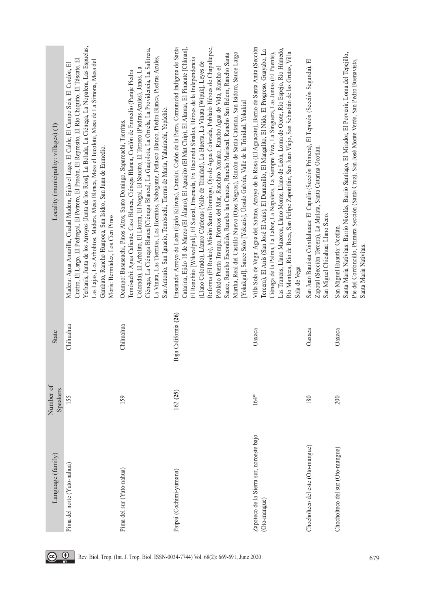| Locality (municipality: villages) (1) | Yerbanís, Junta de los Arroyos [Junta de los Ríos], La Bolada, La Ciénega, La Nopalera, Las Espuelas,<br>Cuatro, El Largo, El Pedregal, El Potrero, El Presón, El Represito, El Río Chiquito, El Táscate, El<br>Las Lajas, Los Arbolitos, Madera, Mesa Blanca, Mesa el Tecolote, Mesa de La Simona, Mesa del<br>Madera: Agua Amarilla, Ciudad Madera, Ejido el Lago, El Cable, El Campo Seis, El Cordón, El<br>Garabato, Rancho Huapoca, San Isidro, San Juan de Enmedio.<br>Moris: Bermúdez, Los Cien Pinos | Ciénega, La Ciénega Blanca [Ciénega Blanca], La Guajolota, La Ornela, La Providencia, La Salitrera,<br>La Vinata, Las Tierritas, Los Hornitos, Nabogame, Peñasco Blanco, Piedra Blanca, Piedras Azules,<br>Colorada), El Arbolito, El Llorón, El Nogal, El Saucito, El Terrero (Piedras Azules), Janos, La<br>Temósachi: Agua Caliente, Casa Blanca, Ciénega Blanca, Cordón de Enmedio (Paraje Piedra<br>San Antonio, San Ignacio, Temósachi, Tierras de María, Yahuirachi, Yepáchic.<br>Ocampo: Basaseachi, Pinos Altos, Santo Domingo, Sapareachi, Tierritas. | Reforma (El Rodeo), Misión Santo Domingo, Ojo de Agua Colorada, Poblado Héroes de Chapultepec,<br>Ensenada: Arroyo de León (Ejido Kiliwas), Camalu, Cañón de la Parra, Comunidad Indígena de Santa<br>Catarina, Ejido 18 de Marzo (El Álamo), El Aguajito (El Mat Chip), El Alamar, El Pinacate [Chknan],<br>Martha, Real del Castillo Nuevo (Ojos Negros), Rincón de Santa Catarina, San Isidoro, Sauce Largo<br>Sauco, Rancho Escondido, Rancho las Canoas, Rancho Mariscal, Rancho San Belem, Rancho Santa<br>El Ranchito [Wikwalpuk], El Sauzal, Ensenada, Ex Hacienda Sinaloa, Héroes de la Independencia<br>(Llano Colorado), Lázaro Cárdenas (Valle de Trinidad), La Huerta, La Vinata [Wipuk], Leyes de<br>Poblado Puerta Trampa, Pórticos del Mar, Ranchito Xonuko, Rancho Agua de Vida, Rancho el<br>Yokakgul], Sauce Solo [Yokazis], Úrsulo Galván, Valle de la Trinidad, Yokakiul | Villa Sola de Vega: Agua del Sabino, Arroyo de la Rosa (El Aguacate), Barrio de Santa Anita (Sección<br>Las Trancas, Llano Mazorca, Llano Monte, Llano de León, Loma de Ocote, Río Espejo, Río Húmedo,<br>Tercera), El Anís (San José El Anís), El Duraznillo, El Mangalito, El Nido, El Progreso, Guayabo, La<br>Río Manteca, Río de Boca, San Felipe Zapotitlán, San Juan Viejo, San Sebastián de las Grutas, Villa<br>Ciénega de la Palma, La Labor, La Nopalera, La Siempre Viva, La Singuera, Las Juntas (El Puente), | San Juan Bautista Coixtlahuaca: El Capulín (Sección Primera), El Tepozón (Sección Segunda), El<br>Zapotal (Sección Tercera), La Mulata, Santa Catarina Ocotlán.<br>San Miguel Chicahua: Llano Seco. | Santa María Nativitas: Barrio Nicolás, Barrio Santiago, El Mirador, El Porvenir, Loma del Tepejillo,<br>Pie del Cordoncillo, Primera Sección (Santa Cruz), San José Monte Verde, San Pedro Buenavista,<br>San Miguel Huautla: Ocotlán.<br>Santa María Nativitas. |
|---------------------------------------|--------------------------------------------------------------------------------------------------------------------------------------------------------------------------------------------------------------------------------------------------------------------------------------------------------------------------------------------------------------------------------------------------------------------------------------------------------------------------------------------------------------|-----------------------------------------------------------------------------------------------------------------------------------------------------------------------------------------------------------------------------------------------------------------------------------------------------------------------------------------------------------------------------------------------------------------------------------------------------------------------------------------------------------------------------------------------------------------|-----------------------------------------------------------------------------------------------------------------------------------------------------------------------------------------------------------------------------------------------------------------------------------------------------------------------------------------------------------------------------------------------------------------------------------------------------------------------------------------------------------------------------------------------------------------------------------------------------------------------------------------------------------------------------------------------------------------------------------------------------------------------------------------------------------------------------------------------------------------------------------------------|----------------------------------------------------------------------------------------------------------------------------------------------------------------------------------------------------------------------------------------------------------------------------------------------------------------------------------------------------------------------------------------------------------------------------------------------------------------------------------------------------------------------------|-----------------------------------------------------------------------------------------------------------------------------------------------------------------------------------------------------|------------------------------------------------------------------------------------------------------------------------------------------------------------------------------------------------------------------------------------------------------------------|
| <b>State</b>                          | Chihuahua                                                                                                                                                                                                                                                                                                                                                                                                                                                                                                    | Chihuahua                                                                                                                                                                                                                                                                                                                                                                                                                                                                                                                                                       | Baja California (26)                                                                                                                                                                                                                                                                                                                                                                                                                                                                                                                                                                                                                                                                                                                                                                                                                                                                          | Sola de Vega<br>Оахаса                                                                                                                                                                                                                                                                                                                                                                                                                                                                                                     | Оахаса                                                                                                                                                                                              | Oaxaca                                                                                                                                                                                                                                                           |
| Number of<br>Speakers                 | 155                                                                                                                                                                                                                                                                                                                                                                                                                                                                                                          | 159                                                                                                                                                                                                                                                                                                                                                                                                                                                                                                                                                             | 162(25)                                                                                                                                                                                                                                                                                                                                                                                                                                                                                                                                                                                                                                                                                                                                                                                                                                                                                       | 164*                                                                                                                                                                                                                                                                                                                                                                                                                                                                                                                       | 180                                                                                                                                                                                                 | 200                                                                                                                                                                                                                                                              |
| Language (family)                     | Pima del norte (Yuto-nahua)                                                                                                                                                                                                                                                                                                                                                                                                                                                                                  | Pima del sur (Yuto-nahua)                                                                                                                                                                                                                                                                                                                                                                                                                                                                                                                                       | Paipai (Cochimi-yumana)                                                                                                                                                                                                                                                                                                                                                                                                                                                                                                                                                                                                                                                                                                                                                                                                                                                                       | Zapoteco de la Sierra sur, noroeste bajo<br>(Oto-mangue)                                                                                                                                                                                                                                                                                                                                                                                                                                                                   | Chocholteco del este (Oto-mangue)                                                                                                                                                                   | Chocholteco del sur (Oto-mangue)                                                                                                                                                                                                                                 |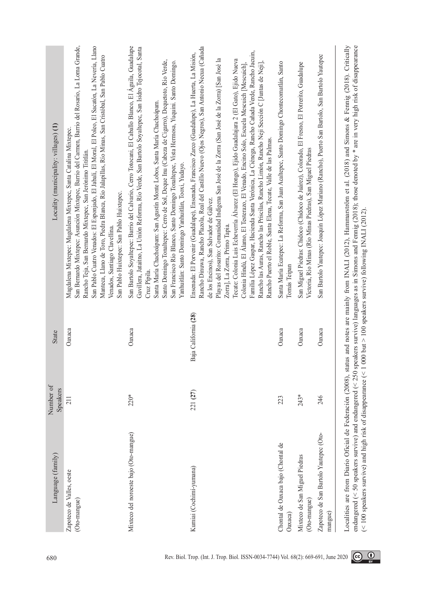| Language (family)                                                                                                        | Number of<br>Speakers | <b>State</b>         | Locality (municipality: villages) (1)                                                                                                                                                                                                                                                                                                                                                                                                                                                                                                                                                                                                                                                                                                                                                                                                                         |
|--------------------------------------------------------------------------------------------------------------------------|-----------------------|----------------------|---------------------------------------------------------------------------------------------------------------------------------------------------------------------------------------------------------------------------------------------------------------------------------------------------------------------------------------------------------------------------------------------------------------------------------------------------------------------------------------------------------------------------------------------------------------------------------------------------------------------------------------------------------------------------------------------------------------------------------------------------------------------------------------------------------------------------------------------------------------|
| Zapoteco de Valles, oeste<br>(Oto-mangue)                                                                                | 211                   | Оахаса               | San Bernardo Mixtepec: Asunción Mixtepec, Barrio del Carmen, Barrio del Rosario, La Loma Grande,<br>San Pablo Cuatro Venados: El Esponjado, El Jabalí, El Moral, El Poleo, El Sacatón, La Nevería, Llano<br>Manteca, Llano de Toro, Piedra Blanca, Río Jalapillas, Río Minas, San Cristóbal, San Pablo Cuatro<br>Magdalena Mixtepec: Magdalena Mixtepec, Santa Catalina Mixtepec.<br>Rancho Teja, San Bernardo Mixtepec, San Jerónimo Tititlán.<br>San Pablo Huixtepec: San Pablo Huixtepec.<br>Venados, Santiago Clavellina.                                                                                                                                                                                                                                                                                                                                 |
| Mixteco del noroeste bajo (Oto-mangue)                                                                                   | $220*$                | Оахаса               | San Bartolo Sovaltepec: Barrio del Calvario, Cerro Totocani, El Caballo Blanco, El Águila, Guadalupe<br>Gavillera, Jataitno, La Unión Reforma, Río Verde, San Bartolo Soyaltepec, San Isidro Tejocotal, Santa<br>Santo Domingo Tonaltepec: Cerro de Sol, Deque Inu (Cabeza de Cigarro), Dequetoto, Río Verde,<br>San Francisco Río Blanco, Santo Domingo Tonaltepec, Vista Hermosa, Yuquini. Santo Domingo.<br>Santa María Chachoápam: San Agustín Monte Lobos, Santa María Chachoápam.<br>Yanhuitlán: Santo Domingo Yanhuitlán, Tooxi, Yudayo.<br>Cruz Pípila.                                                                                                                                                                                                                                                                                               |
| Kumiai (Cochimí-yumana)                                                                                                  | 221 (27)              | Baja California (28) | Rancho Dinuwa, Rancho Plazola, Real del Castillo Nuevo (Ojos Negros), San Antonio Necua (Cañada<br>Familia López Gaspar, Hacienda Santa Verónica, La Ciénega, Rancho Cañada Verde, Rancho Jacuin,<br>Ensenada: El Porvenir (Guadalupe), Ensenada, Francisco Zarco (Guadalupe), La Huerta, La Misión,<br>Playas del Rosarito: Comunidad Indígena San José de la Zorra (San José de la Zorra) [San José la<br>Tecate: Colonia Luis Echeverría Álvarez (El Hongo), Ejido Guadalajara 2 (El Gato), Ejido Nueva<br>Rancho las Auras, Rancho las Priscilas, Rancho Limón, Rancho Neji Sección C [Juntas de Neji],<br>Colonia Hindú, El Álamo, El Testerazo, El Venado, Encino Solo, Escuela Mescuich [Mescuich],<br>Rancho Puerto el Roble, Santa Elena, Tecate, Valle de las Palmas.<br>de los Encinos), San Salvador de Gálvez.<br>Zorra], La Zorra, Primo Tapia. |
| Chontal de Oaxaca bajo (Chontal de<br>Оахаса)                                                                            | 223                   | Oaxaca               | Santa María Ecatepec: La Reforma, San Juan Acaltepec, Santo Domingo Chontecomatlán, Santo<br>Tomás Teipan                                                                                                                                                                                                                                                                                                                                                                                                                                                                                                                                                                                                                                                                                                                                                     |
| Mixteco de San Miguel Piedras<br>(Oto-mangue)                                                                            | 243*                  | Oaxaca               | San Miguel Piedras: Chidoco (Chidoco de Juárez), Colorado, El Fresno, El Potrerito, Guadalupe<br>Victoria, Río Minas (Río Minas Piedras), San Miguel Piedras                                                                                                                                                                                                                                                                                                                                                                                                                                                                                                                                                                                                                                                                                                  |
| Zapoteco de San Bartolo Yautepec (Oto-<br>mangue)                                                                        | 246                   | Оахаса               | San Bartolo Yautepec: Joaquín López Mariano (Rancho), Puerto San Bartolo, San Bartolo Yautepec                                                                                                                                                                                                                                                                                                                                                                                                                                                                                                                                                                                                                                                                                                                                                                |
| $($ < 100 speakers survive) and high risk of disappearance $($ < 1000 but > 100 speakers survive) following INALI (2012) |                       |                      | endangered (< 50 speakers survive) and endangered (< 250 speakers survive) languages as in Simons and Fennig (2018), those denoted by * are in very high risk of disappearance<br>Localities are from Diario Oficial de Federación (2008), status and notes are mainly from INALI (2012), Hammarström et al. (2018) and Simons & Femig (2018). Critically                                                                                                                                                                                                                                                                                                                                                                                                                                                                                                     |

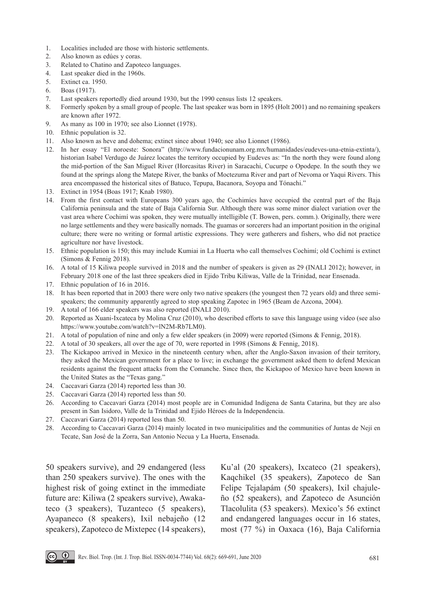- 1. Localities included are those with historic settlements.
- 2. Also known as edúes y coras.
- 3. Related to Chatino and Zapoteco languages.
- 4. Last speaker died in the 1960s.
- 5. Extinct ca. 1950.
- 6. Boas (1917).
- 7. Last speakers reportedly died around 1930, but the 1990 census lists 12 speakers.
- 8. Formerly spoken by a small group of people. The last speaker was born in 1895 (Holt 2001) and no remaining speakers are known after 1972.
- 9. As many as 100 in 1970; see also Lionnet (1978).
- 10. Ethnic population is 32.
- 11. Also known as heve and dohema; extinct since about 1940; see also Lionnet (1986).
- 12. In her essay "El noroeste: Sonora" (http://www.fundacionunam.org.mx/humanidades/eudeves-una-etnia-extinta/), historian Isabel Verdugo de Juárez locates the territory occupied by Eudeves as: "In the north they were found along the mid-portion of the San Miguel River (Horcasitas River) in Saracachi, Cucurpe o Opodepe. In the south they we found at the springs along the Matepe River, the banks of Moctezuma River and part of Nevoma or Yaqui Rivers. This area encompassed the historical sites of Batuco, Tepupa, Bacanora, Soyopa and Tónachi."
- 13. Extinct in 1954 (Boas 1917; Knab 1980).
- 14. From the first contact with Europeans 300 years ago, the Cochimíes have occupied the central part of the Baja California peninsula and the state of Baja California Sur. Although there was some minor dialect variation over the vast area where Cochimí was spoken, they were mutually intelligible (T. Bowen, pers. comm.). Originally, there were no large settlements and they were basically nomads. The guamas or sorcerers had an important position in the original culture; there were no writing or formal artistic expressions. They were gatherers and fishers, who did not practice agriculture nor have livestock.
- 15. Ethnic population is 150; this may include Kumiai in La Huerta who call themselves Cochimí; old Cochimí is extinct (Simons & Fennig 2018).
- 16. A total of 15 Kiliwa people survived in 2018 and the number of speakers is given as 29 (INALI 2012); however, in February 2018 one of the last three speakers died in Ejido Tribu Kiliwas, Valle de la Trinidad, near Ensenada.
- 17. Ethnic population of 16 in 2016.
- 18. It has been reported that in 2003 there were only two native speakers (the youngest then 72 years old) and three semispeakers; the community apparently agreed to stop speaking Zapotec in 1965 (Beam de Azcona, 2004).
- 19. A total of 166 elder speakers was also reported (INALI 2010).
- 20. Reported as Xuani-Ixcateca by Molina Cruz (2010), who described efforts to save this language using video (see also https://www.youtube.com/watch?v=lN2M-Rb7LM0).
- 21. A total of population of nine and only a few elder speakers (in 2009) were reported (Simons & Fennig, 2018).
- 22. A total of 30 speakers, all over the age of 70, were reported in 1998 (Simons & Fennig, 2018).
- 23. The Kickapoo arrived in Mexico in the nineteenth century when, after the Anglo-Saxon invasion of their territory, they asked the Mexican government for a place to live; in exchange the government asked them to defend Mexican residents against the frequent attacks from the Comanche. Since then, the Kickapoo of Mexico have been known in the United States as the "Texas gang."
- 24. Caccavari Garza (2014) reported less than 30.
- 25. Caccavari Garza (2014) reported less than 50.
- 26. According to Caccavari Garza (2014) most people are in Comunidad Indígena de Santa Catarina, but they are also present in San Isidoro, Valle de la Trinidad and Ejido Héroes de la Independencia.
- 27. Caccavari Garza (2014) reported less than 50.
- 28. According to Caccavari Garza (2014) mainly located in two municipalities and the communities of Juntas de Nejí en Tecate, San José de la Zorra, San Antonio Necua y La Huerta, Ensenada.

50 speakers survive), and 29 endangered (less than 250 speakers survive). The ones with the highest risk of going extinct in the immediate future are: Kiliwa (2 speakers survive), Awakateco (3 speakers), Tuzanteco (5 speakers), Ayapaneco (8 speakers), Ixil nebajeño (12 speakers), Zapoteco de Mixtepec (14 speakers),

Ku'al (20 speakers), Ixcateco (21 speakers), Kaqchikel (35 speakers), Zapoteco de San Felipe Tejalapám (50 speakers), Ixil chajuleño (52 speakers), and Zapoteco de Asunción Tlacolulita (53 speakers). Mexico's 56 extinct and endangered languages occur in 16 states, most (77 %) in Oaxaca (16), Baja California

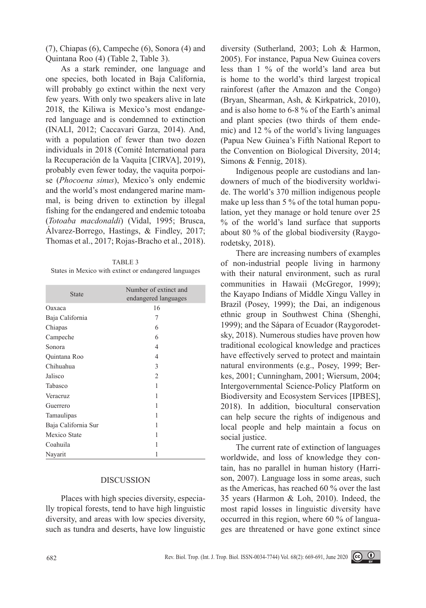(7), Chiapas (6), Campeche (6), Sonora (4) and Quintana Roo (4) (Table 2, Table 3).

As a stark reminder, one language and one species, both located in Baja California, will probably go extinct within the next very few years. With only two speakers alive in late 2018, the Kiliwa is Mexico's most endangered language and is condemned to extinction (INALI, 2012; Caccavari Garza, 2014). And, with a population of fewer than two dozen individuals in 2018 (Comité International para la Recuperación de la Vaquita [CIRVA], 2019), probably even fewer today, the vaquita porpoise (*Phocoena sinus*), Mexico's only endemic and the world's most endangered marine mammal, is being driven to extinction by illegal fishing for the endangered and endemic totoaba (*Totoaba macdonaldi*) (Vidal, 1995; Brusca, Álvarez-Borrego, Hastings, & Findley, 2017; Thomas et al., 2017; Rojas-Bracho et al., 2018).

TABLE 3 States in Mexico with extinct or endangered languages

| <b>State</b>        | Number of extinct and<br>endangered languages |
|---------------------|-----------------------------------------------|
| Oaxaca              | 16                                            |
| Baja California     | 7                                             |
| Chiapas             | 6                                             |
| Campeche            | 6                                             |
| Sonora              | 4                                             |
| Quintana Roo        | 4                                             |
| Chihuahua           | 3                                             |
| Jalisco             | 2                                             |
| Tabasco             | 1                                             |
| Veracruz            | 1                                             |
| Guerrero            | 1                                             |
| Tamaulipas          | 1                                             |
| Baja California Sur | 1                                             |
| Mexico State        | 1                                             |
| Coahuila            | 1                                             |
| Nayarit             | 1                                             |

### DISCUSSION

Places with high species diversity, especially tropical forests, tend to have high linguistic diversity, and areas with low species diversity, such as tundra and deserts, have low linguistic

diversity (Sutherland, 2003; Loh & Harmon, 2005). For instance, Papua New Guinea covers less than 1 % of the world's land area but is home to the world's third largest tropical rainforest (after the Amazon and the Congo) (Bryan, Shearman, Ash, & Kirkpatrick, 2010), and is also home to 6-8 % of the Earth's animal and plant species (two thirds of them endemic) and 12 % of the world's living languages (Papua New Guinea's Fifth National Report to the Convention on Biological Diversity, 2014; Simons & Fennig, 2018).

Indigenous people are custodians and landowners of much of the biodiversity worldwide. The world's 370 million indigenous people make up less than 5 % of the total human population, yet they manage or hold tenure over 25 % of the world's land surface that supports about 80 % of the global biodiversity (Raygorodetsky, 2018).

There are increasing numbers of examples of non-industrial people living in harmony with their natural environment, such as rural communities in Hawaii (McGregor, 1999); the Kayapo Indians of Middle Xingu Valley in Brazil (Posey, 1999); the Dai, an indigenous ethnic group in Southwest China (Shenghi, 1999); and the Sápara of Ecuador (Raygorodetsky, 2018). Numerous studies have proven how traditional ecological knowledge and practices have effectively served to protect and maintain natural environments (e.g., Posey, 1999; Berkes, 2001; Cunningham, 2001; Wiersum, 2004; Intergovernmental Science-Policy Platform on Biodiversity and Ecosystem Services [IPBES], 2018). In addition, biocultural conservation can help secure the rights of indigenous and local people and help maintain a focus on social justice.

The current rate of extinction of languages worldwide, and loss of knowledge they contain, has no parallel in human history (Harrison, 2007). Language loss in some areas, such as the Americas, has reached 60 % over the last 35 years (Harmon & Loh, 2010). Indeed, the most rapid losses in linguistic diversity have occurred in this region, where 60 % of languages are threatened or have gone extinct since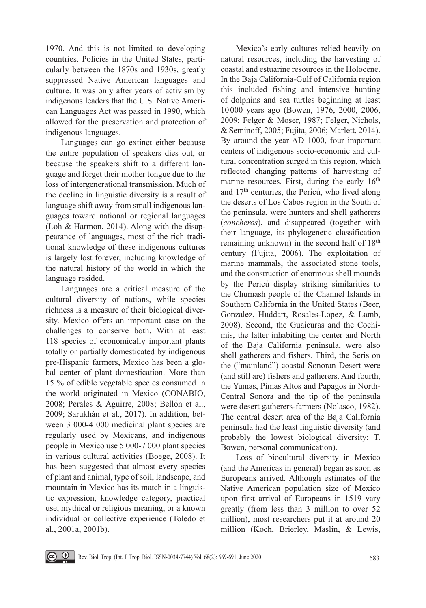1970. And this is not limited to developing countries. Policies in the United States, particularly between the 1870s and 1930s, greatly suppressed Native American languages and culture. It was only after years of activism by indigenous leaders that the U.S. Native American Languages Act was passed in 1990, which allowed for the preservation and protection of indigenous languages.

Languages can go extinct either because the entire population of speakers dies out, or because the speakers shift to a different language and forget their mother tongue due to the loss of intergenerational transmission. Much of the decline in linguistic diversity is a result of language shift away from small indigenous languages toward national or regional languages (Loh & Harmon, 2014). Along with the disappearance of languages, most of the rich traditional knowledge of these indigenous cultures is largely lost forever, including knowledge of the natural history of the world in which the language resided.

Languages are a critical measure of the cultural diversity of nations, while species richness is a measure of their biological diversity. Mexico offers an important case on the challenges to conserve both. With at least 118 species of economically important plants totally or partially domesticated by indigenous pre-Hispanic farmers, Mexico has been a global center of plant domestication. More than 15 % of edible vegetable species consumed in the world originated in Mexico (CONABIO, 2008; Perales & Aguirre, 2008; Bellón et al., 2009; Sarukhán et al., 2017). In addition, between 3 000-4 000 medicinal plant species are regularly used by Mexicans, and indigenous people in Mexico use 5 000-7 000 plant species in various cultural activities (Boege, 2008). It has been suggested that almost every species of plant and animal, type of soil, landscape, and mountain in Mexico has its match in a linguistic expression, knowledge category, practical use, mythical or religious meaning, or a known individual or collective experience (Toledo et al., 2001a, 2001b).

Mexico's early cultures relied heavily on natural resources, including the harvesting of coastal and estuarine resources in the Holocene. In the Baja California-Gulf of California region this included fishing and intensive hunting of dolphins and sea turtles beginning at least 10000 years ago (Bowen, 1976, 2000, 2006, 2009; Felger & Moser, 1987; Felger, Nichols, & Seminoff, 2005; Fujita, 2006; Marlett, 2014). By around the year AD 1000, four important centers of indigenous socio-economic and cultural concentration surged in this region, which reflected changing patterns of harvesting of marine resources. First, during the early  $16<sup>th</sup>$ and 17th centuries, the Pericú, who lived along the deserts of Los Cabos region in the South of the peninsula, were hunters and shell gatherers (*concheros*), and disappeared (together with their language, its phylogenetic classification remaining unknown) in the second half of 18<sup>th</sup> century (Fujita, 2006). The exploitation of marine mammals, the associated stone tools, and the construction of enormous shell mounds by the Pericú display striking similarities to the Chumash people of the Channel Islands in Southern California in the United States (Beer, Gonzalez, Huddart, Rosales-Lopez, & Lamb, 2008). Second, the Guaicuras and the Cochimís, the latter inhabiting the center and North of the Baja California peninsula, were also shell gatherers and fishers. Third, the Seris on the ("mainland") coastal Sonoran Desert were (and still are) fishers and gatherers. And fourth, the Yumas, Pimas Altos and Papagos in North-Central Sonora and the tip of the peninsula were desert gatherers-farmers (Nolasco, 1982). The central desert area of the Baja California peninsula had the least linguistic diversity (and probably the lowest biological diversity; T. Bowen, personal communication).

Loss of biocultural diversity in Mexico (and the Americas in general) began as soon as Europeans arrived. Although estimates of the Native American population size of Mexico upon first arrival of Europeans in 1519 vary greatly (from less than 3 million to over 52 million), most researchers put it at around 20 million (Koch, Brierley, Maslin, & Lewis,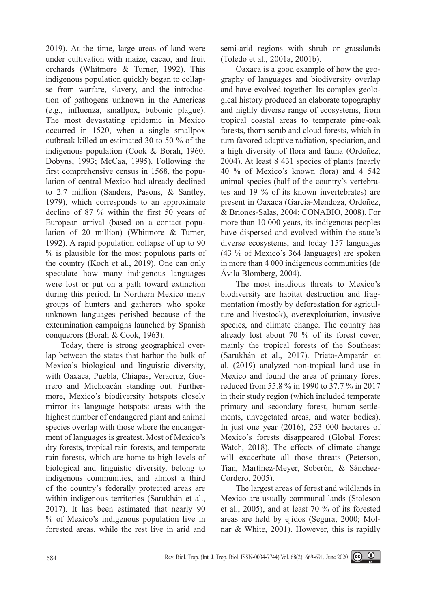2019). At the time, large areas of land were under cultivation with maize, cacao, and fruit orchards (Whitmore & Turner, 1992). This indigenous population quickly began to collapse from warfare, slavery, and the introduction of pathogens unknown in the Americas (e.g., influenza, smallpox, bubonic plague). The most devastating epidemic in Mexico occurred in 1520, when a single smallpox outbreak killed an estimated 30 to 50 % of the indigenous population (Cook & Borah, 1960; Dobyns, 1993; McCaa, 1995). Following the first comprehensive census in 1568, the population of central Mexico had already declined to 2.7 million (Sanders, Pasons, & Santley, 1979), which corresponds to an approximate decline of 87 % within the first 50 years of European arrival (based on a contact population of 20 million) (Whitmore & Turner, 1992). A rapid population collapse of up to 90 % is plausible for the most populous parts of the country (Koch et al., 2019). One can only speculate how many indigenous languages were lost or put on a path toward extinction during this period. In Northern Mexico many groups of hunters and gatherers who spoke unknown languages perished because of the extermination campaigns launched by Spanish conquerors (Borah & Cook, 1963).

Today, there is strong geographical overlap between the states that harbor the bulk of Mexico's biological and linguistic diversity, with Oaxaca, Puebla, Chiapas, Veracruz, Guerrero and Michoacán standing out. Furthermore, Mexico's biodiversity hotspots closely mirror its language hotspots: areas with the highest number of endangered plant and animal species overlap with those where the endangerment of languages is greatest. Most of Mexico's dry forests, tropical rain forests, and temperate rain forests, which are home to high levels of biological and linguistic diversity, belong to indigenous communities, and almost a third of the country's federally protected areas are within indigenous territories (Sarukhán et al., 2017). It has been estimated that nearly 90 % of Mexico's indigenous population live in forested areas, while the rest live in arid and

semi-arid regions with shrub or grasslands (Toledo et al., 2001a, 2001b).

Oaxaca is a good example of how the geography of languages and biodiversity overlap and have evolved together. Its complex geological history produced an elaborate topography and highly diverse range of ecosystems, from tropical coastal areas to temperate pine-oak forests, thorn scrub and cloud forests, which in turn favored adaptive radiation, speciation, and a high diversity of flora and fauna (Ordoñez, 2004). At least 8 431 species of plants (nearly 40 % of Mexico's known flora) and 4 542 animal species (half of the country's vertebrates and 19 % of its known invertebrates) are present in Oaxaca (García-Mendoza, Ordoñez, & Briones-Salas, 2004; CONABIO, 2008). For more than 10 000 years, its indigenous peoples have dispersed and evolved within the state's diverse ecosystems, and today 157 languages (43 % of Mexico's 364 languages) are spoken in more than 4 000 indigenous communities (de Ávila Blomberg, 2004).

The most insidious threats to Mexico's biodiversity are habitat destruction and fragmentation (mostly by deforestation for agriculture and livestock), overexploitation, invasive species, and climate change. The country has already lost about 70 % of its forest cover, mainly the tropical forests of the Southeast (Sarukhán et al., 2017). Prieto-Amparán et al. (2019) analyzed non-tropical land use in Mexico and found the area of primary forest reduced from 55.8 % in 1990 to 37.7 % in 2017 in their study region (which included temperate primary and secondary forest, human settlements, unvegetated areas, and water bodies). In just one year (2016), 253 000 hectares of Mexico's forests disappeared (Global Forest Watch, 2018). The effects of climate change will exacerbate all those threats (Peterson, Tian, Martínez-Meyer, Soberón, & Sánchez-Cordero, 2005).

The largest areas of forest and wildlands in Mexico are usually communal lands (Stoleson et al., 2005), and at least 70 % of its forested areas are held by ejidos (Segura, 2000; Molnar & White, 2001). However, this is rapidly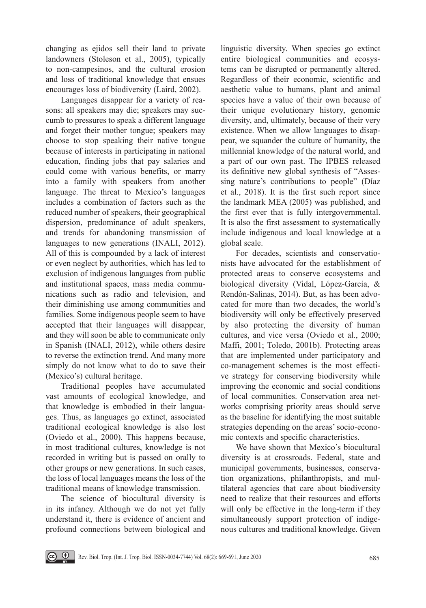changing as ejidos sell their land to private landowners (Stoleson et al., 2005), typically to non-campesinos, and the cultural erosion and loss of traditional knowledge that ensues encourages loss of biodiversity (Laird, 2002).

Languages disappear for a variety of reasons: all speakers may die; speakers may succumb to pressures to speak a different language and forget their mother tongue; speakers may choose to stop speaking their native tongue because of interests in participating in national education, finding jobs that pay salaries and could come with various benefits, or marry into a family with speakers from another language. The threat to Mexico's languages includes a combination of factors such as the reduced number of speakers, their geographical dispersion, predominance of adult speakers, and trends for abandoning transmission of languages to new generations (INALI, 2012). All of this is compounded by a lack of interest or even neglect by authorities, which has led to exclusion of indigenous languages from public and institutional spaces, mass media communications such as radio and television, and their diminishing use among communities and families. Some indigenous people seem to have accepted that their languages will disappear, and they will soon be able to communicate only in Spanish (INALI, 2012), while others desire to reverse the extinction trend. And many more simply do not know what to do to save their (Mexico's) cultural heritage.

Traditional peoples have accumulated vast amounts of ecological knowledge, and that knowledge is embodied in their languages. Thus, as languages go extinct, associated traditional ecological knowledge is also lost (Oviedo et al., 2000). This happens because, in most traditional cultures, knowledge is not recorded in writing but is passed on orally to other groups or new generations. In such cases, the loss of local languages means the loss of the traditional means of knowledge transmission.

The science of biocultural diversity is in its infancy. Although we do not yet fully understand it, there is evidence of ancient and profound connections between biological and

linguistic diversity. When species go extinct entire biological communities and ecosystems can be disrupted or permanently altered. Regardless of their economic, scientific and aesthetic value to humans, plant and animal species have a value of their own because of their unique evolutionary history, genomic diversity, and, ultimately, because of their very existence. When we allow languages to disappear, we squander the culture of humanity, the millennial knowledge of the natural world, and a part of our own past. The IPBES released its definitive new global synthesis of "Assessing nature's contributions to people" (Díaz et al., 2018). It is the first such report since the landmark MEA (2005) was published, and the first ever that is fully intergovernmental. It is also the first assessment to systematically include indigenous and local knowledge at a global scale.

For decades, scientists and conservationists have advocated for the establishment of protected areas to conserve ecosystems and biological diversity (Vidal, López-García, & Rendón-Salinas, 2014). But, as has been advocated for more than two decades, the world's biodiversity will only be effectively preserved by also protecting the diversity of human cultures, and vice versa (Oviedo et al., 2000; Maffi, 2001; Toledo, 2001b). Protecting areas that are implemented under participatory and co-management schemes is the most effective strategy for conserving biodiversity while improving the economic and social conditions of local communities. Conservation area networks comprising priority areas should serve as the baseline for identifying the most suitable strategies depending on the areas' socio-economic contexts and specific characteristics.

We have shown that Mexico's biocultural diversity is at crossroads. Federal, state and municipal governments, businesses, conservation organizations, philanthropists, and multilateral agencies that care about biodiversity need to realize that their resources and efforts will only be effective in the long-term if they simultaneously support protection of indigenous cultures and traditional knowledge. Given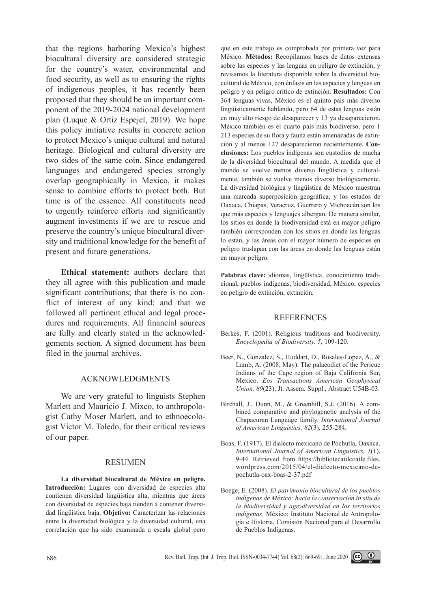that the regions harboring Mexico's highest biocultural diversity are considered strategic for the country's water, environmental and food security, as well as to ensuring the rights of indigenous peoples, it has recently been proposed that they should be an important component of the 2019-2024 national development plan (Luque & Ortiz Espejel, 2019). We hope this policy initiative results in concrete action to protect Mexico's unique cultural and natural heritage. Biological and cultural diversity are two sides of the same coin. Since endangered languages and endangered species strongly overlap geographically in Mexico, it makes sense to combine efforts to protect both. But time is of the essence. All constituents need to urgently reinforce efforts and significantly augment investments if we are to rescue and preserve the country's unique biocultural diversity and traditional knowledge for the benefit of present and future generations.

**Ethical statement:** authors declare that they all agree with this publication and made significant contributions; that there is no conflict of interest of any kind; and that we followed all pertinent ethical and legal procedures and requirements. All financial sources are fully and clearly stated in the acknowledgements section. A signed document has been filed in the journal archives.

### ACKNOWLEDGMENTS

We are very grateful to linguists Stephen Marlett and Mauricio J. Mixco, to anthropologist Cathy Moser Marlett, and to ethnoecologist Víctor M. Toledo, for their critical reviews of our paper.

#### RESUMEN

**La diversidad biocultural de México en peligro. Introducción:** Lugares con diversidad de especies alta contienen diversidad lingüística alta, mientras que áreas con diversidad de especies baja tienden a contener diversidad lingüística baja. **Objetivo:** Caracterizar las relaciones entre la diversidad biológica y la diversidad cultural, una correlación que ha sido examinada a escala global pero

que en este trabajo es comprobada por primera vez para México. **Métodos:** Recopilamos bases de datos extensas sobre las especies y las lenguas en peligro de extinción, y revisamos la literatura disponible sobre la diversidad biocultural de México, con énfasis en las especies y lenguas en peligro y en peligro crítico de extinción. **Resultados:** Con 364 lenguas vivas, México es el quinto país más diverso lingüísticamente hablando, pero 64 de estas lenguas están en muy alto riesgo de desaparecer y 13 ya desaparecieron. México también es el cuarto país más biodiverso, pero 1 213 especies de su flora y fauna están amenazadas de extinción y al menos 127 desaparecieron recientemente. **Conclusiones:** Los pueblos indígenas son custodios de mucha de la diversidad biocultural del mundo. A medida que el mundo se vuelve menos diverso lingüística y culturalmente, también se vuelve menos diverso biológicamente. La diversidad biológica y lingüística de México muestran una marcada superposición geográfica, y los estados de Oaxaca, Chiapas, Veracruz, Guerrero y Michoacán son los que más especies y lenguajes albergan. De manera similar, los sitios en donde la biodiversidad está en mayor peligro también corresponden con los sitios en donde las lenguas lo están, y las áreas con el mayor número de especies en peligro traslapan con las áreas en donde las lenguas están en mayor peligro.

**Palabras clave:** idiomas, lingüística, conocimiento tradicional, pueblos indígenas, biodiversidad, México, especies en peligro de extinción, extinción.

#### REFERENCES

- Berkes, F. (2001). Religious traditions and biodiversity. *Encyclopedia of Biodiversity, 5*, 109-120.
- Beer, N., Gonzalez, S., Huddart, D., Rosales-Lopez, A., & Lamb, A. (2008, May). The palaeodiet of the Pericue Indians of the Cape region of Baja California Sur, Mexico. *Eos Transactions American Geophysical Union, 89*(23), Jt. Assem. Suppl., Abstract U54B-03.
- Birchall, J., Dunn, M., & Greenhill, S.J. (2016). A combined comparative and phylogenetic analysis of the Chapacuran Language family. *International Journal of American Linguistics, 82*(3), 255-284.
- Boas, F. (1917). El dialecto mexicano de Pochutla, Oaxaca. *International Journal of American Linguistics, 1*(1), 9-44. Retrieved from https://bibliotecatilcoatle.files. wordpress.com/2015/04/el-dialecto-mexicano-depochutla-oax-boas-2-37.pdf
- Boege, E. (2008). *El patrimonio biocultural de los pueblos indígenas de México: hacia la conservación in situ de la biodiversidad y agrodiversidad en los territorios indígenas*. México: Instituto Nacional de Antropología e Historia, Comisión Nacional para el Desarrollo de Pueblos Indígenas.

 $\circledcirc$   $\circledcirc$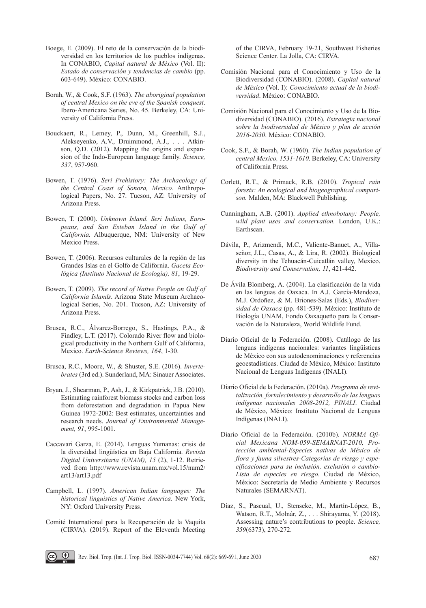- Boege, E. (2009). El reto de la conservación de la biodiversidad en los territorios de los pueblos indígenas. In CONABIO, *Capital natural de México* (Vol. II): *Estado de conservación y tendencias de cambio* (pp. 603-649). México: CONABIO.
- Borah, W., & Cook, S.F. (1963). *The aboriginal population of central Mexico on the eve of the Spanish conquest*. Ibero-Americana Series, No. 45. Berkeley, CA: University of California Press.
- Bouckaert, R., Lemey, P., Dunn, M., Greenhill, S.J., Alekseyenko, A.V., Druimmond, A.J., . . . Atkinson, Q.D. (2012). Mapping the origins and expansion of the Indo-European language family. *Science, 337*, 957-960.
- Bowen, T. (1976). *Seri Prehistory: The Archaeology of the Central Coast of Sonora, Mexico.* Anthropological Papers, No. 27. Tucson, AZ: University of Arizona Press.
- Bowen, T. (2000). *Unknown Island. Seri Indians, Europeans, and San Esteban Island in the Gulf of California.* Albuquerque, NM: University of New Mexico Press.
- Bowen, T. (2006). Recursos culturales de la región de las Grandes Islas en el Golfo de California. *Gaceta Ecológica (Instituto Nacional de Ecología), 81*, 19-29.
- Bowen, T. (2009). *The record of Native People on Gulf of California Islands*. Arizona State Museum Archaeological Series, No. 201. Tucson, AZ: University of Arizona Press.
- Brusca, R.C., Álvarez-Borrego, S., Hastings, P.A., & Findley, L.T. (2017). Colorado River flow and biological productivity in the Northern Gulf of California, Mexico. *Earth-Science Reviews, 164*, 1-30.
- Brusca, R.C., Moore, W., & Shuster, S.E. (2016). *Invertebrates* (3rd ed.). Sunderland, MA: Sinauer Associates.
- Bryan, J., Shearman, P., Ash, J., & Kirkpatrick, J.B. (2010). Estimating rainforest biomass stocks and carbon loss from deforestation and degradation in Papua New Guinea 1972-2002: Best estimates, uncertainties and research needs. *Journal of Environmental Management, 91*, 995-1001.
- Caccavari Garza, E. (2014). Lenguas Yumanas: crisis de la diversidad lingüística en Baja California. *Revista Digital Universitaria (UNAM), 15* (2), 1-12. Retrieved from http://www.revista.unam.mx/vol.15/num2/ art13/art13.pdf
- Campbell, L. (1997). *American Indian languages: The historical linguistics of Native America.* New York, NY: Oxford University Press.
- Comité International para la Recuperación de la Vaquita (CIRVA). (2019). Report of the Eleventh Meeting

of the CIRVA, February 19-21, Southwest Fisheries Science Center. La Jolla, CA: CIRVA.

- Comisión Nacional para el Conocimiento y Uso de la Biodiversidad (CONABIO). (2008). *Capital natural de México* (Vol. I): *Conocimiento actual de la biodiversidad*. México: CONABIO.
- Comisión Nacional para el Conocimiento y Uso de la Biodiversidad (CONABIO). (2016). *Estrategia nacional sobre la biodiversidad de México y plan de acción 2016-2030*. México: CONABIO.
- Cook, S.F., & Borah, W. (1960). *The Indian population of central Mexico, 1531-1610*. Berkeley, CA: University of California Press.
- Corlett, R.T., & Primack, R.B. (2010). *Tropical rain forests: An ecological and biogeographical comparison.* Malden, MA: Blackwell Publishing.
- Cunningham, A.B. (2001). *Applied ethnobotany: People, wild plant uses and conservation.* London, U.K.: Earthscan.
- Dávila, P., Arizmendi, M.C., Valiente-Banuet, A., Villaseñor, J.L., Casas, A., & Lira, R. (2002). Biological diversity in the Tehuacán-Cuicatlán valley, Mexico. *Biodiversity and Conservation, 11*, 421-442.
- De Ávila Blomberg, A. (2004). La clasificación de la vida en las lenguas de Oaxaca. In A.J. García-Mendoza, M.J. Ordoñez, & M. Briones-Salas (Eds.), *Biodiversidad de Oaxaca* (pp. 481-539). México: Instituto de Biología UNAM, Fondo Oaxaqueño para la Conservación de la Naturaleza, World Wildlife Fund.
- Diario Oficial de la Federación. (2008). Catálogo de las lenguas indígenas nacionales: variantes lingüísticas de México con sus autodenominaciones y referencias geoestadísticas. Ciudad de México, México: Instituto Nacional de Lenguas Indígenas (INALI).
- Diario Oficial de la Federación. (2010a). *Programa de revitalización, fortalecimiento y desarrollo de las lenguas indígenas nacionales 2008-2012, PINALI*. Ciudad de México, México: Instituto Nacional de Lenguas Indígenas (INALI).
- Diario Oficial de la Federación. (2010b). *NORMA Oficial Mexicana NOM-059-SEMARNAT-2010, Protección ambiental-Especies nativas de México de flora y fauna silvestres-Categorías de riesgo y especificaciones para su inclusión, exclusión o cambio-Lista de especies en riesgo*. Ciudad de México, México: Secretaría de Medio Ambiente y Recursos Naturales (SEMARNAT).
- Díaz, S., Pascual, U., Stenseke, M., Martín-López, B., Watson, R.T., Molnár, Z., . . . Shirayama, Y. (2018). Assessing nature's contributions to people. *Science, 359*(6373), 270-272.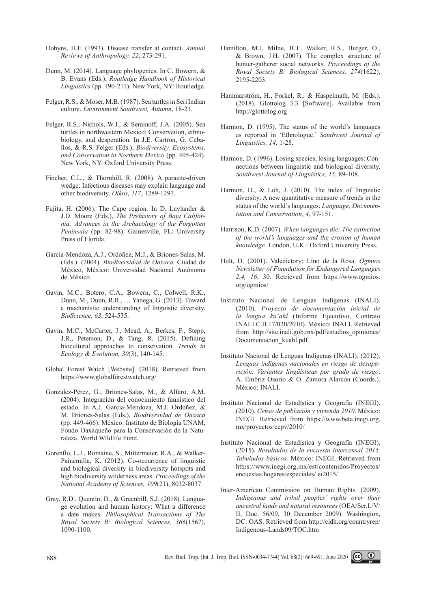Dobyns, H.F. (1993). Disease transfer at contact. *Annual Reviews of Anthropology, 22*, 273-291.

- Dunn, M. (2014). Language phylogenies. In C. Bowern, & B. Evans (Eds.), *Routledge Handbook of Historical Linguistics* (pp. 190-211). New York, NY: Routledge.
- Felger, R.S., & Moser, M.B. (1987). Sea turtles in Seri Indian culture. *Environment Southwest, Autumn*, 18-21.
- Felger, R.S., Nichols, W.J., & Seminoff, J.A. (2005). Sea turtles in northwestern Mexico: Conservation, ethnobiology, and desperation. In J.E. Cartron, G. Ceballos, & R.S. Felger (Eds.), *Biodiversity, Ecosystems, and Conservation in Northern Mexico* (pp. 405-424). New York, NY: Oxford University Press.
- Fincher, C.L., & Thornhill, R. (2008). A parasite-driven wedge: Infectious diseases may explain language and other biodiversity. *Oikos, 117*, 1289-1297.
- Fujita, H. (2006). The Cape region. In D. Laylander & J.D. Moore (Eds.), *The Prehistory of Baja California: Advances in the Archaeology of the Forgotten Peninsula* (pp. 82-98). Gainesville, FL: University Press of Florida.
- García-Mendoza, A.J., Ordoñez, M.J., & Briones-Salas, M. (Eds.). (2004). *Biodiversidad de Oaxaca.* Ciudad de México, México: Universidad Nacional Autónoma de México.
- Gavin, M.C., Botero, C.A., Bowern, C., Colwell, R.K., Dunn, M., Dunn, R.R., … Yanega, G. (2013). Toward a mechanistic understanding of linguistic diversity. *BioScience, 63*, 524-535.
- Gavin, M.C., McCarter, J., Mead, A., Berkes, F., Stepp, J.R., Peterson, D., & Tang, R. (2015). Defining biocultural approaches to conservation. *Trends in Ecology & Evolution, 30*(3), 140-145.
- Global Forest Watch [Website]. (2018). Retrieved from https://www.globalforestwatch.org/
- Gonzalez-Pérez, G., Briones-Salas, M., & Alfaro, A.M. (2004). Integración del conocimiento faunístico del estado. In A.J. García-Mendoza, M.J. Ordoñez, & M. Briones-Salas (Eds.), *Biodiversidad de Oaxaca* (pp. 449-466). México: Instituto de Biología UNAM, Fondo Oaxaqueño para la Conservación de la Naturaleza, World Wildlife Fund.
- Gorenflo, L.J., Romaine, S., Mittermeier, R.A., & Walker-Painemilla, K. (2012). Co-occurrence of linguistic and biological diversity in biodiversity hotspots and high biodiversity wilderness areas. *Proceedings of the National Academy of Sciences, 109*(21), 8032-8037.
- Gray, R.D., Quentin, D., & Greenhill, S.J. (2018). Language evolution and human history: What a difference a date makes. *Philosophical Transactions of The Royal Society B: Biological Sciences, 366*(1567), 1090-1100.
- Hamilton, M.J, Milne, B.T., Walker, R.S., Burger, O., & Brown, J.H. (2007). The complex structure of hunter-gatherer social networks. *Proceedings of the Royal Society B: Biological Sciences, 274*(1622), 2195-2203.
- Hammarström, H., Forkel, R., & Haspelmath, M. (Eds.). (2018). Glottolog 3.3 [Software]. Available from http://glottolog.org
- Harmon, D. (1995). The status of the world's languages as reported in 'Ethnologue.' *Southwest Journal of Linguistics, 14*, 1-28.
- Harmon, D. (1996). Losing species, losing languages: Connections between linguistic and biological diversity. *Southwest Journal of Linguistics, 15*, 89**-**108.
- Harmon, D., & Loh, J. (2010). The index of linguistic diversity: A new quantitative measure of trends in the status of the world's languages. *Language, Documentation and Conservation, 4*, 97-151.
- Harrison, K.D. (2007). *When languages die: The extinction of the world's languages and the erosion of human knowledge.* London, U.K.: Oxford University Press.
- Holt, D. (2001). Valedictory: Lino de la Rosa. *Ogmios Newsletter of Foundation for Endangered Languages 2.4, 16*, 30. Retrieved from https://www.ogmios. org/ogmios/
- Instituto Nacional de Lenguas Indígenas (INALI). (2010). *Proyecto de documentación inicial de la lengua ku'ahl* (Informe Ejecutivo, Contrato INALI.C.B.17/020/2010). México: INALI. Retrieved from http://site.inali.gob.mx/pdf/estudios\_opiniones/ Documentacion\_kuahl.pdf
- Instituto Nacional de Lenguas Indígenas (INALI). (2012). *Lenguas indígenas nacionales en riesgo de desaparición: Variantes lingüísticas por grado de riesgo*. A. Embriz Osorio & O. Zamora Alarcón (Coords.). México: INALI.
- Instituto Nacional de Estadística y Geografía (INEGI). (2010). *Censo de población y vivienda 2010*. México: INEGI. Retrieved from https://www.beta.inegi.org. mx/proyectos/ccpv/2010/
- Instituto Nacional de Estadística y Geografía (INEGI). (2015). *Resultados de la encuesta intercensal 2015. Tabulados básicos.* México: INEGI. Retrieved from https://www.inegi.org.mx/est/contenidos/Proyectos/ encuestas/hogares/especiales/ ei2015/
- Inter-American Commission on Human Rights. (2009). *Indigenous and tribal peoples' rights over their ancestral lands and natural resources* (OEA/Ser.L/V/ II, Doc. 56/09, 30 December 2009). Washington, DC: OAS. Retrieved from http://cidh.org/countryrep/ Indigenous-Lands09/TOC.htm

 $\odot$   $\odot$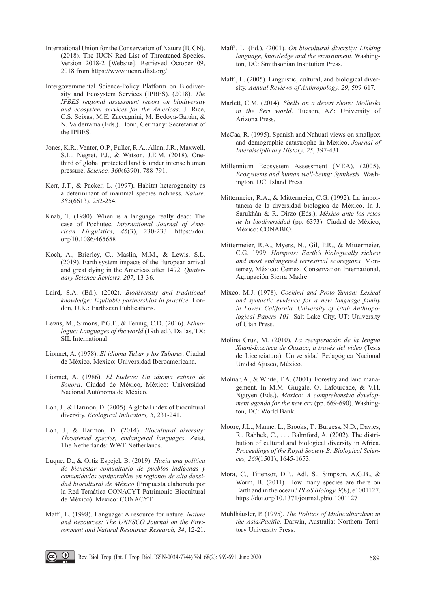- International Union for the Conservation of Nature (IUCN). (2018). The IUCN Red List of Threatened Species. Version 2018-2 [Website]. Retrieved October 09, 2018 from https://www.iucnredlist.org/
- Intergovernmental Science-Policy Platform on Biodiversity and Ecosystem Services (IPBES). (2018). *The IPBES regional assessment report on biodiversity and ecosystem services for the Americas*. J. Rice, C.S. Seixas, M.E. Zaccagnini, M. Bedoya-Gaitán, & N. Valderrama (Eds.). Bonn, Germany: Secretariat of the IPBES.
- Jones, K.R., Venter, O.P., Fuller, R.A., Allan, J.R., Maxwell, S.L., Negret, P.J., & Watson, J.E.M. (2018). Onethird of global protected land is under intense human pressure. *Science, 360*(6390), 788-791.
- Kerr, J.T., & Packer, L. (1997). Habitat heterogeneity as a determinant of mammal species richness. *Nature, 385*(6613), 252-254.
- Knab, T. (1980). When is a language really dead: The case of Pochutec*. International Journal of American Linguistics, 46*(3), 230-233. https://doi. org/10.1086/465658
- Koch, A., Brierley, C., Maslin, M.M., & Lewis, S.L. (2019). Earth system impacts of the European arrival and great dying in the Americas after 1492. *Quaternary Science Reviews, 207*, 13-36.
- Laird, S.A. (Ed.). (2002). *Biodiversity and traditional knowledge: Equitable partnerships in practice.* London, U.K.: Earthscan Publications.
- Lewis, M., Simons, P.G.F., & Fennig, C.D. (2016). *Ethnologue: Languages of the world* (19th ed.)*.* Dallas, TX: SIL International.
- Lionnet, A. (1978). *El idioma Tubar y los Tubares*. Ciudad de México, México: Universidad Iberoamericana.
- Lionnet, A. (1986). *El Eudeve: Un idioma extinto de Sonora*. Ciudad de México, México: Universidad Nacional Autónoma de México.
- Loh, J., & Harmon, D. (2005). A global index of biocultural diversity. *Ecological Indicators, 5*, 231-241.
- Loh, J., & Harmon, D. (2014). *Biocultural diversity: Threatened species, endangered languages*. Zeist, The Netherlands: WWF Netherlands.
- Luque, D., & Ortiz Espejel, B. (2019). *Hacia una política de bienestar comunitario de pueblos indígenas y comunidades equiparables en regiones de alta densidad biocultural de México* (Propuesta elaborada por la Red Temática CONACYT Patrimonio Biocultural de México). México: CONACYT.
- Maffi, L. (1998). Language: A resource for nature. *Nature and Resources: The UNESCO Journal on the Environment and Natural Resources Research, 34*, 12-21.
- Maffi, L. (Ed.). (2001). *On biocultural diversity: Linking language, knowledge and the environment.* Washington, DC: Smithsonian Institution Press.
- Maffi, L. (2005). Linguistic, cultural, and biological diversity. *Annual Reviews of Anthropology, 29*, 599-617.
- Marlett, C.M. (2014). *Shells on a desert shore: Mollusks in the Seri world.* Tucson, AZ: University of Arizona Press.
- McCaa, R. (1995). Spanish and Nahuatl views on smallpox and demographic catastrophe in Mexico. *Journal of Interdisciplinary History, 25*, 397-431.
- Millennium Ecosystem Assessment (MEA). (2005). *Ecosystems and human well-being: Synthesis.* Washington, DC: Island Press.
- Mittermeier, R.A., & Mittermeier, C.G. (1992). La importancia de la diversidad biológica de México. In J. Sarukhán & R. Dirzo (Eds.), *México ante los retos de la biodiversidad* (pp. 6373). Ciudad de México, México: CONABIO.
- Mittermeier, R.A., Myers, N., Gil, P.R., & Mittermeier, C.G. 1999. *Hotspots: Earth's biologically richest and most endangered terrestrial ecoregions.* Monterrey, México: Cemex, Conservation International, Agrupación Sierra Madre.
- Mixco, M.J. (1978). *Cochimí and Proto-Yuman: Lexical and syntactic evidence for a new language family in Lower California. University of Utah Anthropological Papers 101*. Salt Lake City, UT: University of Utah Press.
- Molina Cruz, M. (2010). *La recuperación de la lengua Xuani-Ixcateca de Oaxaca, a través del video* (Tesis de Licenciatura). Universidad Pedagógica Nacional Unidad Ajusco, México.
- Molnar, A., & White, T.A. (2001). Forestry and land management. In M.M. Giugale, O. Lafourcade, & V.H. Nguyen (Eds.), *Mexico: A comprehensive development agenda for the new era* (pp. 669-690). Washington, DC: World Bank.
- Moore, J.L., Manne, L., Brooks, T., Burgess, N.D., Davies, R., Rahbek, C., . . . Balmford, A. (2002). The distribution of cultural and biological diversity in Africa. *Proceedings of the Royal Society B: Biological Sciences, 269*(1501), 1645-1653.
- Mora, C., Tittensor, D.P., Adl, S., Simpson, A.G.B., & Worm, B. (2011). How many species are there on Earth and in the ocean? *PLoS Biology, 9*(8), e1001127. https://doi.org/10.1371/journal.pbio.1001127
- Mühlháusler, P. (1995). *The Politics of Multiculturalism in the Asia/Pacific.* Darwin, Australia: Northern Territory University Press.

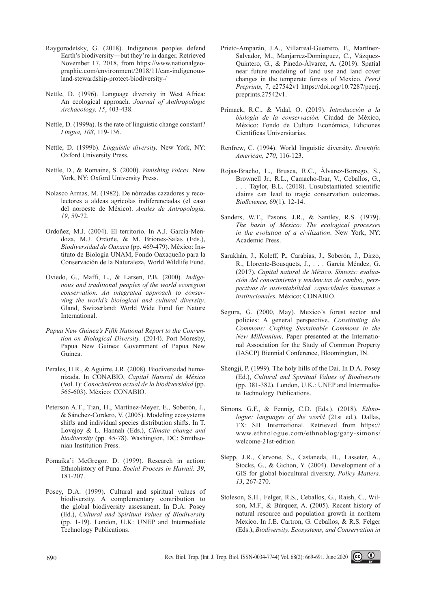- Raygorodetsky, G. (2018). Indigenous peoples defend Earth's biodiversity—but they're in danger. Retrieved November 17, 2018, from https://www.nationalgeographic.com/environment/2018/11/can-indigenousland-stewardship-protect-biodiversity-/
- Nettle, D. (1996). Language diversity in West Africa: An ecological approach. *Journal of Anthropologic Archaeology, 15*, 403-438.
- Nettle, D. (1999a). Is the rate of linguistic change constant? *Lingua, 108*, 119-136.
- Nettle, D. (1999b). *Linguistic diversity.* New York, NY: Oxford University Press.
- Nettle, D., & Romaine, S. (2000). *Vanishing Voices.* New York, NY: Oxford University Press.
- Nolasco Armas, M. (1982). De nómadas cazadores y recolectores a aldeas agrícolas indiferenciadas (el caso del noroeste de México). *Anales de Antropología, 19*, 59-72.
- Ordoñez, M.J. (2004). El territorio. In A.J. García-Mendoza, M.J. Ordoñe, & M. Briones-Salas (Eds.), *Biodiversidad de Oaxaca* (pp. 469-479). México: Instituto de Biología UNAM, Fondo Oaxaqueño para la Conservación de la Naturaleza, World Wildlife Fund.
- Oviedo, G., Maffi, L., & Larsen, P.B. (2000). *Indigenous and traditional peoples of the world ecoregion conservation. An integrated approach to conserving the world's biological and cultural diversity*. Gland, Switzerland: World Wide Fund for Nature International.
- *Papua New Guinea's Fifth National Report to the Convention on Biological Diversity*. (2014). Port Moresby, Papua New Guinea: Government of Papua New Guinea.
- Perales, H.R., & Aguirre, J.R. (2008). Biodiversidad humanizada. In CONABIO, *Capital Natural de México*  (Vol. I): *Conocimiento actual de la biodiversidad* (pp. 565-603). México: CONABIO.
- Peterson A.T., Tian, H., Martínez-Meyer, E., Soberón, J., & Sánchez-Cordero, V. (2005). Modeling ecosystems shifts and individual species distribution shifts. In T. Lovejoy & L. Hannah (Eds.), *Climate change and biodiversity* (pp. 45-78). Washington, DC: Smithsonian Institution Press.
- Pōmaika'i McGregor. D. (1999). Research in action: Ethnohistory of Puna. *Social Process in Hawaii. 39*, 181-207.
- Posey, D.A. (1999). Cultural and spiritual values of biodiversity. A complementary contribution to the global biodiversity assessment. In D.A. Posey (Ed.), *Cultural and Spiritual Values of Biodiversity* (pp. 1-19). London, U.K: UNEP and Intermediate Technology Publications.
- Prieto-Amparán, J.A., Villarreal-Guerrero, F., Martínez-Salvador, M., Manjarrez-Domínguez, C., Vázquez-Quintero, G., & Pinedo-Álvarez, A. (2019). Spatial near future modeling of land use and land cover changes in the temperate forests of Mexico. *PeerJ Preprints, 7*, e27542v1 https://doi.org/10.7287/peerj. preprints.27542v1.
- Primack, R.C., & Vidal, O. (2019). *Introducción a la biología de la conservación.* Ciudad de México, México: Fondo de Cultura Económica, Ediciones Científicas Universitarias.
- Renfrew, C. (1994). World linguistic diversity. *Scientific American, 270*, 116-123.
- Rojas-Bracho, L., Brusca, R.C., Álvarez-Borrego, S., Brownell Jr., R.L., Camacho-Ibar, V., Ceballos, G., . . . Taylor, B.L. (2018). Unsubstantiated scientific claims can lead to tragic conservation outcomes. *BioScience*, 69(1), 12-14.
- Sanders, W.T., Pasons, J.R., & Santley, R.S. (1979). *The basin of Mexico: The ecological processes in the evolution of a civilization*. New York, NY: Academic Press.
- Sarukhán, J., Koleff, P., Carabias, J., Soberón, J., Dirzo, R., Llorente-Bousquets, J., . . . García Méndez, G. (2017). *Capital natural de México. Síntesis: evaluación del conocimiento y tendencias de cambio, perspectivas de sustentabilidad, capacidades humanas e institucionales.* México: CONABIO.
- Segura, G. (2000, May). Mexico's forest sector and policies: A general perspective. *Constituting the Commons: Crafting Sustainable Commons in the New Millennium*. Paper presented at the International Association for the Study of Common Property (IASCP) Biennial Conference, Bloomington, IN.
- Shengji, P. (1999). The holy hills of the Dai. In D.A. Posey (Ed.), *Cultural and Spiritual Values of Biodiversity* (pp. 381-382). London, U.K.: UNEP and Intermediate Technology Publications.
- Simons, G.F., & Fennig, C.D. (Eds.). (2018). *Ethnologue: languages of the world* (21st ed.)*.* Dallas, TX: SIL International. Retrieved from https:// www.ethnologue.com/ethnoblog/gary-simons/ welcome-21st-edition
- Stepp, J.R., Cervone, S., Castaneda, H., Lasseter, A., Stocks, G., & Gichon, Y. (2004). Development of a GIS for global biocultural diversity. *Policy Matters, 13*, 267-270.
- Stoleson, S.H., Felger, R.S., Ceballos, G., Raish, C., Wilson, M.F., & Búrquez, A. (2005). Recent history of natural resource and population growth in northern Mexico. In J.E. Cartron, G. Ceballos, & R.S. Felger (Eds.), *Biodiversity, Ecosystems, and Conservation in*

690 Rev. Biol. Trop. (Int. J. Trop. Biol. ISSN-0034-7744) Vol. 68(2): 669-691, June 2020

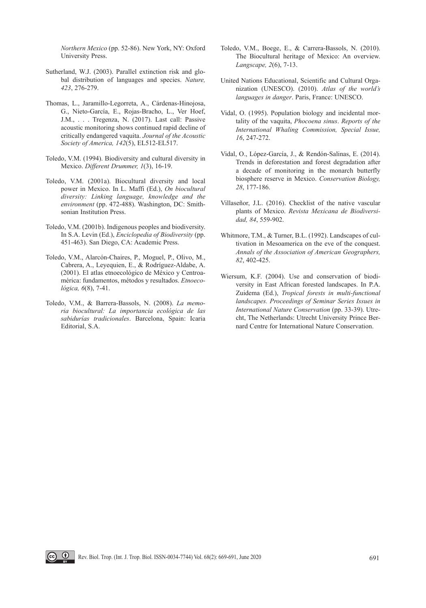*Northern Mexico* (pp. 52-86). New York, NY: Oxford University Press.

- Sutherland, W.J. (2003). Parallel extinction risk and global distribution of languages and species. *Nature, 423*, 276-279.
- Thomas, L., Jaramillo-Legorreta, A., Cárdenas-Hinojosa, G., Nieto-García, E., Rojas-Bracho, L., Ver Hoef, J.M., . . . Tregenza, N. (2017). Last call: Passive acoustic monitoring shows continued rapid decline of critically endangered vaquita. *Journal of the Acoustic Society of America, 142*(5), EL512-EL517.
- Toledo, V.M. (1994). Biodiversity and cultural diversity in Mexico. *Different Drummer, 1*(3), 16-19.
- Toledo, V.M. (2001a). Biocultural diversity and local power in Mexico. In L. Maffi (Ed.), *On biocultural diversity: Linking language, knowledge and the environment* (pp. 472-488). Washington, DC: Smithsonian Institution Press.
- Toledo, V.M. (2001b). Indigenous peoples and biodiversity. In S.A. Levin (Ed.), *Enciclopedia of Biodiversity* (pp. 451-463). San Diego, CA: Academic Press.
- Toledo, V.M., Alarcón-Chaires, P., Moguel, P., Olivo, M., Cabrera, A., Leyequien, E., & Rodríguez-Aldabe, A. (2001). El atlas etnoecológico de México y Centroamérica: fundamentos, métodos y resultados. *Etnoecológica, 6*(8), 7-41.
- Toledo, V.M., & Barrera-Bassols, N. (2008). *La memoria biocultural: La importancia ecológica de las sabidurías tradicionales*. Barcelona, Spain: Icaria Editorial, S.A.
- Toledo, V.M., Boege, E., & Carrera-Bassols, N. (2010). The Biocultural heritage of Mexico: An overview. *Langscape, 2*(6), 7-13.
- United Nations Educational, Scientific and Cultural Organization (UNESCO). (2010). *Atlas of the world's languages in danger*. Paris, France: UNESCO.
- Vidal, O. (1995). Population biology and incidental mortality of the vaquita, *Phocoena sinus*. *Reports of the International Whaling Commission, Special Issue, 16*, 247-272.
- Vidal, O., López-García, J., & Rendón-Salinas, E. (2014). Trends in deforestation and forest degradation after a decade of monitoring in the monarch butterfly biosphere reserve in Mexico. *Conservation Biology, 28*, 177-186.
- Villaseñor, J.L. (2016). Checklist of the native vascular plants of Mexico. *Revista Mexicana de Biodiversidad, 84*, 559-902.
- Whitmore, T.M., & Turner, B.L. (1992). Landscapes of cultivation in Mesoamerica on the eve of the conquest. *Annals of the Association of American Geographers, 82*, 402-425.
- Wiersum, K.F. (2004). Use and conservation of biodiversity in East African forested landscapes. In P.A. Zuidema (Ed.), *Tropical forests in multi-functional landscapes. Proceedings of Seminar Series Issues in International Nature Conservation* (pp. 33-39). Utrecht, The Netherlands: Utrecht University Prince Bernard Centre for International Nature Conservation.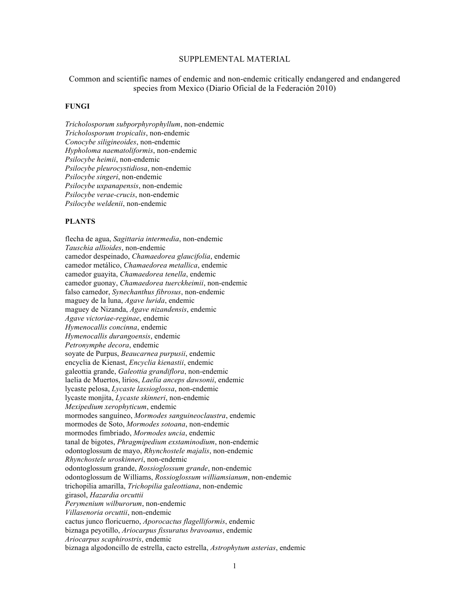# SUPPLEMENTAL MATERIAL

Common and scientific names of endemic and non-endemic critically endangered and endangered species from Mexico (Diario Oficial de la Federación 2010)

# **FUNGI**

*Tricholosporum subporphyrophyllum*, non-endemic *Tricholosporum tropicalis*, non-endemic *Conocybe siligineoides*, non-endemic *Hypholoma naematoliformis*, non-endemic *Psilocybe heimii*, non-endemic *Psilocybe pleurocystidiosa*, non-endemic *Psilocybe singeri*, non-endemic *Psilocybe uxpanapensis*, non-endemic *Psilocybe verae-crucis*, non-endemic *Psilocybe weldenii*, non-endemic

# **PLANTS**

flecha de agua, *Sagittaria intermedia*, non-endemic *Tauschia allioides*, non-endemic camedor despeinado, *Chamaedorea glaucifolia*, endemic camedor metálico, *Chamaedorea metallica*, endemic camedor guayita, *Chamaedorea tenella*, endemic camedor guonay, *Chamaedorea tuerckheimii*, non-endemic falso camedor, *Synechanthus fibrosus*, non-endemic maguey de la luna, *Agave lurida*, endemic maguey de Nizanda, *Agave nizandensis*, endemic *Agave victoriae-reginae*, endemic *Hymenocallis concinna*, endemic *Hymenocallis durangoensis*, endemic *Petronymphe decora*, endemic soyate de Purpus, *Beaucarnea purpusii*, endemic encyclia de Kienast, *Encyclia kienastii*, endemic galeottia grande, *Galeottia grandiflora*, non-endemic laelia de Muertos, lirios, *Laelia anceps dawsonii*, endemic lycaste pelosa, *Lycaste lassioglossa*, non-endemic lycaste monjita, *Lycaste skinneri*, non-endemic *Mexipedium xerophyticum*, endemic mormodes sanguíneo, *Mormodes sanguineoclaustra*, endemic mormodes de Soto, *Mormodes sotoana*, non-endemic mormodes fimbriado, *Mormodes uncia*, endemic tanal de bigotes, *Phragmipedium exstaminodium*, non-endemic odontoglossum de mayo, *Rhynchostele majalis*, non-endemic *Rhynchostele uroskinneri*, non-endemic odontoglossum grande, *Rossioglossum grande*, non-endemic odontoglossum de Williams, *Rossioglossum williamsianum*, non-endemic trichopilia amarilla, *Trichopilia galeottiana*, non-endemic girasol, *Hazardia orcuttii Perymenium wilburorum*, non-endemic *Villasenoria orcuttii*, non-endemic cactus junco floricuerno, *Aporocactus flagelliformis*, endemic biznaga peyotillo, *Ariocarpus fissuratus bravoanus*, endemic *Ariocarpus scaphirostris*, endemic biznaga algodoncillo de estrella, cacto estrella, *Astrophytum asterias*, endemic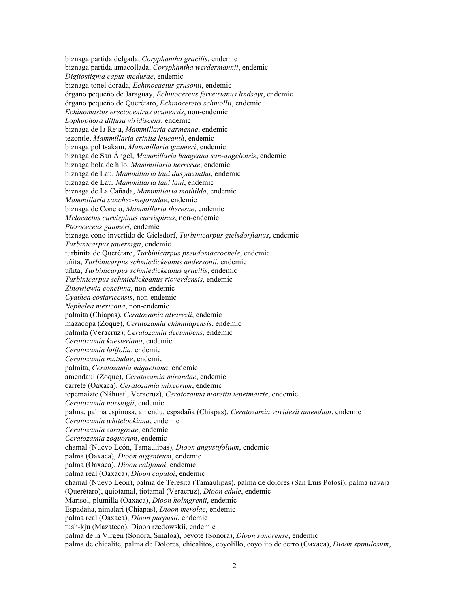biznaga partida delgada, *Coryphantha gracilis*, endemic biznaga partida amacollada, *Coryphantha werdermannii*, endemic *Digitostigma caput-medusae*, endemic biznaga tonel dorada, *Echinocactus grusonii*, endemic órgano pequeño de Jaraguay, *Echinocereus ferreirianus lindsayi*, endemic órgano pequeño de Querétaro, *Echinocereus schmollii*, endemic *Echinomastus erectocentrus acunensis*, non-endemic *Lophophora diffusa viridiscens*, endemic biznaga de la Reja, *Mammillaria carmenae*, endemic tezontle, *Mammillaria crinita leucanth*, endemic biznaga pol tsakam, *Mammillaria gaumeri*, endemic biznaga de San Ángel, *Mammillaria haageana san-angelensis*, endemic biznaga bola de hilo, *Mammillaria herrerae*, endemic biznaga de Lau, *Mammillaria laui dasyacantha*, endemic biznaga de Lau, *Mammillaria laui laui*, endemic biznaga de La Cañada, *Mammillaria mathilda*, endemic *Mammillaria sanchez-mejoradae*, endemic biznaga de Coneto, *Mammillaria theresae*, endemic *Melocactus curvispinus curvispinus*, non-endemic *Pterocereus gaumeri*, endemic biznaga cono invertido de Gielsdorf, *Turbinicarpus gielsdorfianus*, endemic *Turbinicarpus jauernigii*, endemic turbinita de Querétaro, *Turbinicarpus pseudomacrochele*, endemic uñita, *Turbinicarpus schmiedickeanus andersonii*, endemic uñita, *Turbinicarpus schmiedickeanus gracilis*, endemic *Turbinicarpus schmiedickeanus rioverdensis*, endemic *Zinowiewia concinna*, non-endemic *Cyathea costaricensis*, non-endemic *Nephelea mexicana*, non-endemic palmita (Chiapas), *Ceratozamia alvarezii*, endemic mazacopa (Zoque), *Ceratozamia chimalapensis*, endemic palmita (Veracruz), *Ceratozamia decumbens*, endemic *Ceratozamia kuesteriana*, endemic *Ceratozamia latifolia*, endemic *Ceratozamia matudae*, endemic palmita, *Ceratozamia miqueliana*, endemic amendaui (Zoque), *Ceratozamia mirandae*, endemic carrete (Oaxaca), *Ceratozamia mixeorum*, endemic tepemaizte (Náhuatl, Veracruz), *Ceratozamia morettii tepetmaizte*, endemic *Ceratozamia norstogii*, endemic palma, palma espinosa, amendu, espadaña (Chiapas), *Ceratozamia vovidesii amenduai*, endemic *Ceratozamia whitelockiana*, endemic *Ceratozamia zaragozae*, endemic *Ceratozamia zoquorum*, endemic chamal (Nuevo León, Tamaulipas), *Dioon angustifolium*, endemic palma (Oaxaca), *Dioon argenteum*, endemic palma (Oaxaca), *Dioon califanoi*, endemic palma real (Oaxaca), *Dioon caputoi*, endemic chamal (Nuevo León), palma de Teresita (Tamaulipas), palma de dolores (San Luis Potosí), palma navaja (Querétaro), quiotamal, tiotamal (Veracruz), *Dioon edule*, endemic Marisol, plumilla (Oaxaca), *Dioon holmgrenii*, endemic Espadaña, nimalari (Chiapas), *Dioon merolae*, endemic palma real (Oaxaca), *Dioon purpusii*, endemic tush-kju (Mazateco), Dioon rzedowskii, endemic palma de la Virgen (Sonora, Sinaloa), peyote (Sonora), *Dioon sonorense*, endemic palma de chicalite, palma de Dolores, chicalitos, coyolillo, coyolito de cerro (Oaxaca), *Dioon spinulosum*,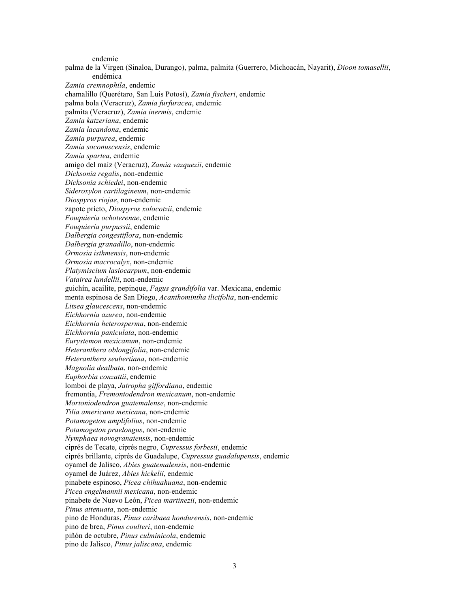endemic

palma de la Virgen (Sinaloa, Durango), palma, palmita (Guerrero, Michoacán, Nayarit), *Dioon tomasellii*, endémica *Zamia cremnophila*, endemic chamalillo (Querétaro, San Luis Potosí), *Zamia fischeri*, endemic palma bola (Veracruz), *Zamia furfuracea*, endemic palmita (Veracruz), *Zamia inermis*, endemic *Zamia katzeriana*, endemic *Zamia lacandona*, endemic *Zamia purpurea*, endemic *Zamia soconuscensis*, endemic *Zamia spartea*, endemic amigo del maíz (Veracruz), *Zamia vazquezii*, endemic *Dicksonia regalis*, non-endemic *Dicksonia schiedei*, non-endemic *Sideroxylon cartilagineum*, non-endemic *Diospyros riojae*, non-endemic zapote prieto, *Diospyros xolocotzii*, endemic *Fouquieria ochoterenae*, endemic *Fouquieria purpussii*, endemic *Dalbergia congestiflora*, non-endemic *Dalbergia granadillo*, non-endemic *Ormosia isthmensis*, non-endemic *Ormosia macrocalyx*, non-endemic *Platymiscium lasiocarpum*, non-endemic *Vatairea lundellii*, non-endemic guichín, acailite, pepinque, *Fagus grandifolia* var. Mexicana, endemic menta espinosa de San Diego, *Acanthomintha ilicifolia*, non-endemic *Litsea glaucescens*, non-endemic *Eichhornia azurea*, non-endemic *Eichhornia heterosperma*, non-endemic *Eichhornia paniculata*, non-endemic *Eurystemon mexicanum*, non-endemic *Heteranthera oblongifolia*, non-endemic *Heteranthera seubertiana*, non-endemic *Magnolia dealbata*, non-endemic *Euphorbia conzattii*, endemic lomboi de playa, *Jatropha giffordiana*, endemic fremontia, *Fremontodendron mexicanum*, non-endemic *Mortoniodendron guatemalense*, non-endemic *Tilia americana mexicana*, non-endemic *Potamogeton amplifolius*, non-endemic *Potamogeton praelongus*, non-endemic *Nymphaea novogranatensis*, non-endemic ciprés de Tecate, ciprés negro, *Cupressus forbesii*, endemic ciprés brillante, ciprés de Guadalupe, *Cupressus guadalupensis*, endemic oyamel de Jalisco, *Abies guatemalensis*, non-endemic oyamel de Juárez, *Abies hickelii*, endemic pinabete espinoso, *Picea chihuahuana*, non-endemic *Picea engelmannii mexicana*, non-endemic pinabete de Nuevo León, *Picea martinezii*, non-endemic *Pinus attenuata*, non-endemic pino de Honduras, *Pinus caribaea hondurensis*, non-endemic pino de brea, *Pinus coulteri*, non-endemic piñón de octubre, *Pinus culminicola*, endemic pino de Jalisco, *Pinus jaliscana*, endemic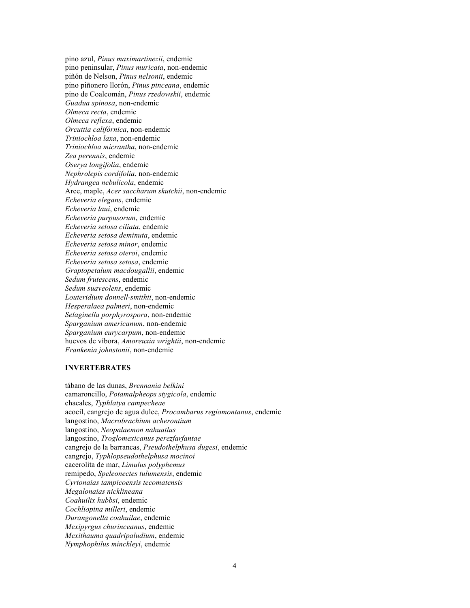pino azul, *Pinus maximartinezii*, endemic pino peninsular, *Pinus muricata*, non-endemic piñón de Nelson, *Pinus nelsonii*, endemic pino piñonero llorón, *Pinus pinceana*, endemic pino de Coalcomán, *Pinus rzedowskii*, endemic *Guadua spinosa*, non-endemic *Olmeca recta*, endemic *Olmeca reflexa*, endemic *Orcuttia califórnica*, non-endemic *Triniochloa laxa*, non-endemic *Triniochloa micrantha*, non-endemic *Zea perennis*, endemic *Oserya longifolia*, endemic *Nephrolepis cordifolia*, non-endemic *Hydrangea nebulicola*, endemic Arce, maple, *Acer saccharum skutchii*, non-endemic *Echeveria elegans*, endemic *Echeveria laui*, endemic *Echeveria purpusorum*, endemic *Echeveria setosa ciliata*, endemic *Echeveria setosa deminuta*, endemic *Echeveria setosa minor*, endemic *Echeveria setosa oteroi*, endemic *Echeveria setosa setosa*, endemic *Graptopetalum macdougallii*, endemic *Sedum frutescens*, endemic *Sedum suaveolens*, endemic *Louteridium donnell-smithii*, non-endemic *Hesperalaea palmeri*, non-endemic *Selaginella porphyrospora*, non-endemic *Sparganium americanum*, non-endemic *Sparganium eurycarpum*, non-endemic huevos de víbora, *Amoreuxia wrightii*, non-endemic *Frankenia johnstonii*, non-endemic

# **INVERTEBRATES**

tábano de las dunas, *Brennania belkini*  camaroncillo, *Potamalpheops stygicola*, endemic chacales, *Typhlatya campecheae* acocil, cangrejo de agua dulce, *Procambarus regiomontanus*, endemic langostino, *Macrobrachium acherontium* langostino, *Neopalaemon nahuatlus* langostino, *Troglomexicanus perezfarfantae*  cangrejo de la barrancas, *Pseudothelphusa dugesi*, endemic cangrejo, *Typhlopseudothelphusa mocinoi* cacerolita de mar, *Limulus polyphemus* remipedo, *Speleonectes tulumensis*, endemic *Cyrtonaias tampicoensis tecomatensis Megalonaias nicklineana Coahuilix hubbsi*, endemic *Cochliopina milleri*, endemic *Durangonella coahuilae*, endemic *Mexipyrgus churinceanus*, endemic *Mexithauma quadripaludium*, endemic *Nymphophilus minckleyi*, endemic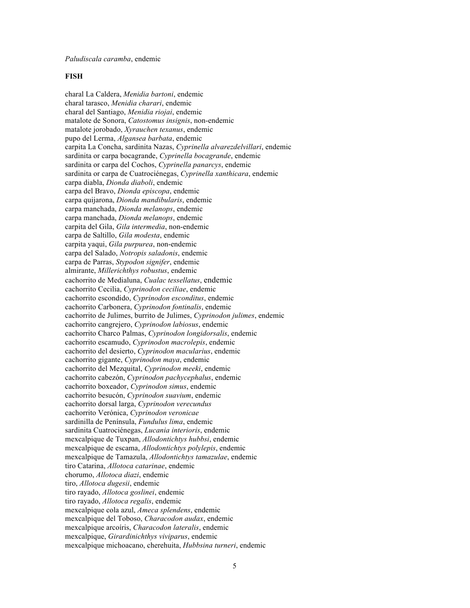*Paludiscala caramba*, endemic

## **FISH**

charal La Caldera, *Menidia bartoni*, endemic charal tarasco, *Menidia charari*, endemic charal del Santiago, *Menidia riojai*, endemic matalote de Sonora, *Catostomus insignis*, non-endemic matalote jorobado, *Xyrauchen texanus*, endemic pupo del Lerma, *Algansea barbata*, endemic carpita La Concha, sardinita Nazas, *Cyprinella alvarezdelvillari*, endemic sardinita or carpa bocagrande, *Cyprinella bocagrande*, endemic sardinita or carpa del Cochos, *Cyprinella panarcys*, endemic sardinita or carpa de Cuatrociénegas, *Cyprinella xanthicara*, endemic carpa diabla, *Dionda diaboli*, endemic carpa del Bravo, *Dionda episcopa*, endemic carpa quijarona, *Dionda mandibularis*, endemic carpa manchada, *Dionda melanops*, endemic carpa manchada, *Dionda melanops*, endemic carpita del Gila, *Gila intermedia*, non-endemic carpa de Saltillo, *Gila modesta*, endemic carpita yaqui, *Gila purpurea*, non-endemic carpa del Salado, *Notropis saladonis*, endemic carpa de Parras, *Stypodon signifer*, endemic almirante, *Millerichthys robustus*, endemic cachorrito de Medialuna, *Cualac tessellatus*, endemic cachorrito Cecilia, *Cyprinodon ceciliae*, endemic cachorrito escondido, *Cyprinodon esconditus*, endemic cachorrito Carbonera, *Cyprinodon fontinalis*, endemic cachorrito de Julimes, burrito de Julimes, *Cyprinodon julimes*, endemic cachorrito cangrejero, *Cyprinodon labiosus*, endemic cachorrito Charco Palmas, *Cyprinodon longidorsalis*, endemic cachorrito escamudo, *Cyprinodon macrolepis*, endemic cachorrito del desierto, *Cyprinodon macularius*, endemic cachorrito gigante, *Cyprinodon maya*, endemic cachorrito del Mezquital, *Cyprinodon meeki*, endemic cachorrito cabezón, *Cyprinodon pachycephalus*, endemic cachorrito boxeador, *Cyprinodon simus*, endemic cachorrito besucón, *Cyprinodon suavium*, endemic cachorrito dorsal larga, *Cyprinodon verecundus* cachorrito Verónica, *Cyprinodon veronicae* sardinilla de Península, *Fundulus lima*, endemic sardinita Cuatrociénegas, *Lucania interioris*, endemic mexcalpique de Tuxpan, *Allodontichtys hubbsi*, endemic mexcalpique de escama, *Allodontichtys polylepis*, endemic mexcalpique de Tamazula, *Allodontichtys tamazulae*, endemic tiro Catarina, *Allotoca catarinae*, endemic chorumo, *Allotoca diazi*, endemic tiro, *Allotoca dugesii*, endemic tiro rayado, *Allotoca goslinei*, endemic tiro rayado, *Allotoca regalis*, endemic mexcalpique cola azul, *Ameca splendens*, endemic mexcalpique del Toboso, *Characodon audax*, endemic mexcalpique arcoíris, *Characodon lateralis*, endemic mexcalpique, *Girardinichthys viviparus*, endemic mexcalpique michoacano, cherehuita, *Hubbsina turneri*, endemic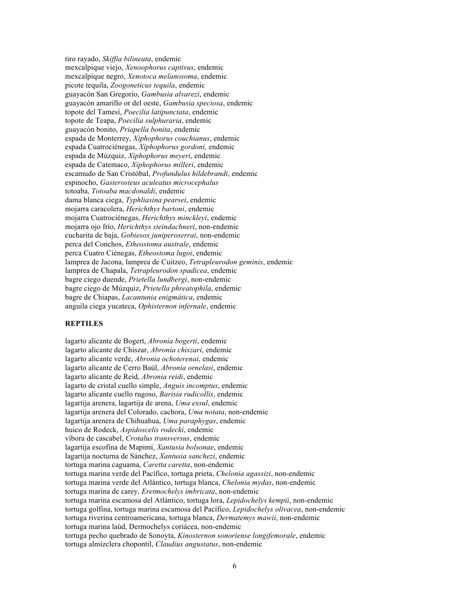tiro rayado, *Skiffia bilineata*, endemic mexcalpique viejo, *Xenoophorus captivus*, endemic mexcalpique negro, *Xenotoca melanosoma*, endemic picote tequila, *Zoogoneticus tequila*, endemic guayacón San Gregorio, *Gambusia alvarezi*, endemic guayacón amarillo or del oeste, *Gambusia speciosa*, endemic topote del Tamesí, *Poecilia latipunctata*, endemic topote de Teapa, *Poecilia sulphuraria*, endemic guayacón bonito, *Priapella bonita*, endemic espada de Monterrey, *Xiphophorus couchianus*, endemic espada Cuatrociénegas, *Xiphophorus gordoni,* endemic espada de Múzquiz, *Xiphophorus meyeri*, endemic espada de Catemaco, *Xiphophorus milleri*, endemic escamudo de San Cristóbal, *Profundulus hildebrandi*, endemic espinocho, *Gasterosteus aculeatus microcephalus* totoaba, *Totoaba macdonaldi*, endemic dama blanca ciega, *Typhliasina pearsei*, endemic mojarra caracolera, *Herichthys bartoni*, endemic mojarra Cuatrociénegas, *Herichthys minckleyi*, endemic mojarra ojo frío, *Herichthys steindachneri*, non-endemic cucharita de baja, *Gobiesox juniperoserrai*, non-endemic perca del Conchos, *Etheostoma australe*, endemic perca Cuatro Ciénegas, *Etheostoma lugoi*, endemic lamprea de Jacona, lamprea de Cuitzeo, *Tetrapleurodon geminis*, endemic lamprea de Chapala, *Tetrapleurodon spadicea*, endemic bagre ciego duende, *Prietella lundbergi*, non-endemic bagre ciego de Múzquiz, *Prietella phreatophila*, endemic bagre de Chiapas, *Lacantunia enigmática*, endemic anguila ciega yucateca, *Ophisternon infernale*, endemic

### **REPTILES**

lagarto alicante de Bogert, *Abronia bogerti*, endemic lagarto alicante de Chiszar, *Abronia chiszari*, endemic lagarto alicante verde, *Abronia ochoterenai*, endemic lagarto alicante de Cerro Baúl, *Abronia ornelasi*, endemic lagarto alicante de Reid, *Abronia reidi*, endemic lagarto de cristal cuello simple, *Anguis incomptus*, endemic lagarto alicante cuello rugoso, *Barisia rudicollis*, endemic lagartija arenera, lagartija de arena, *Uma exsul*, endemic lagartija arenera del Colorado, cachora, *Uma notata*, non-endemic lagartija arenera de Chihuahua, *Uma paraphygas*, endemic huico de Rodeck, *Aspidoscelis rodecki*, endemic víbora de cascabel, *Crotalus transversus*, endemic lagartija escofina de Mapimí, *Xantusia bolsonae*, endemic lagartija nocturna de Sánchez, *Xantusia sanchezi*, endemic tortuga marina caguama, *Caretta caretta*, non-endemic tortuga marina verde del Pacífico, tortuga prieta, *Chelonia agassizi*, non-endemic tortuga marina verde del Atlántico, tortuga blanca, *Chelonia mydas*, non-endemic tortuga marina de carey, *Eretmochelys imbricata*, non-endemic tortuga marina escamosa del Atlántico, tortuga lora, *Lepidochelys kempii*, non-endemic tortuga golfina, tortuga marina escamosa del Pacífico, *Lepidochelys olivacea*, non-endemic tortuga riverina centroamericana, tortuga blanca, *Dermatemys mawii*, non-endemic tortuga marina laúd, Dermochelys coriácea, non-endemic tortuga pecho quebrado de Sonoyta, *Kinosternon sonoriense longifemorale*, endemic tortuga almizclera chopontil, *Claudius angustatus*, non-endemic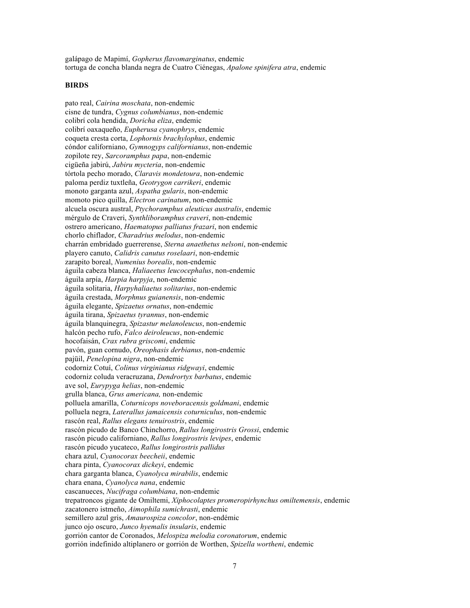galápago de Mapimí, *Gopherus flavomarginatus*, endemic tortuga de concha blanda negra de Cuatro Ciénegas, *Apalone spinifera atra*, endemic

### **BIRDS**

pato real, *Cairina moschata*, non-endemic cisne de tundra, *Cygnus columbianus*, non-endemic colibrí cola hendida, *Doricha eliza*, endemic colibrí oaxaqueño, *Eupherusa cyanophrys*, endemic coqueta cresta corta, *Lophornis brachylophus*, endemic cóndor californiano, *Gymnogyps californianus*, non-endemic zopilote rey, *Sarcoramphus papa*, non-endemic cigüeña jabirú, *Jabiru mycteria*, non-endemic tórtola pecho morado, *Claravis mondetoura*, non-endemic paloma perdiz tuxtleña, *Geotrygon carrikeri*, endemic monoto garganta azul, *Aspatha gularis*, non-endemic momoto pico quilla, *Electron carinatum*, non-endemic alcuela oscura austral, *Ptychoramphus aleuticus australis*, endemic mérgulo de Craveri, *Synthliboramphus craveri*, non-endemic ostrero americano, *Haematopus palliatus frazari*, non endemic chorlo chiflador, *Charadrius melodus*, non-endemic charrán embridado guerrerense, *Sterna anaethetus nelsoni*, non-endemic playero canuto, *Calidris canutus roselaari*, non-endemic zarapito boreal, *Numenius borealis*, non-endemic águila cabeza blanca, *Haliaeetus leucocephalus*, non-endemic águila arpía, *Harpia harpyja*, non-endemic águila solitaria, *Harpyhaliaetus solitarius*, non-endemic águila crestada, *Morphnus guianensis*, non-endemic águila elegante, *Spizaetus ornatus*, non-endemic águila tirana, *Spizaetus tyrannus*, non-endemic águila blanquinegra, *Spizastur melanoleucus*, non-endemic halcón pecho rufo, *Falco deiroleucus*, non-endemic hocofaisán, *Crax rubra griscomi*, endemic pavón, guan cornudo, *Oreophasis derbianus*, non-endemic pajüil, *Penelopina nigra*, non-endemic codorniz Cotuí, *Colinus virginianus ridgwayi*, endemic codorniz coluda veracruzana, *Dendrortyx barbatus*, endemic ave sol, *Eurypyga helias*, non-endemic grulla blanca, *Grus americana,* non-endemic polluela amarilla, *Coturnicops noveboracensis goldmani*, endemic polluela negra, *Laterallus jamaicensis coturniculus*, non-endemic rascón real, *Rallus elegans tenuirostris*, endemic rascón picudo de Banco Chinchorro, *Rallus longirostris Grossi*, endemic rascón picudo californiano, *Rallus longirostris levipes*, endemic rascón picudo yucateco, *Rallus longirostris pallidus* chara azul, *Cyanocorax beecheii*, endemic chara pinta, *Cyanocorax dickeyi*, endemic chara garganta blanca, *Cyanolyca mirabilis*, endemic chara enana, *Cyanolyca nana*, endemic cascanueces, *Nucifraga columbiana*, non-endemic trepatroncos gigante de Omiltemi, *Xiphocolaptes promeropirhynchus omiltemensis*, endemic zacatonero istmeño, *Aimophila sumichrasti*, endemic semillero azul gris, *Amaurospiza concolor*, non-endémic junco ojo oscuro, *Junco hyemalis insularis*, endemic gorrión cantor de Coronados, *Melospiza melodia coronatorum*, endemic gorrión indefinido altiplanero or gorrión de Worthen, *Spizella wortheni*, endemic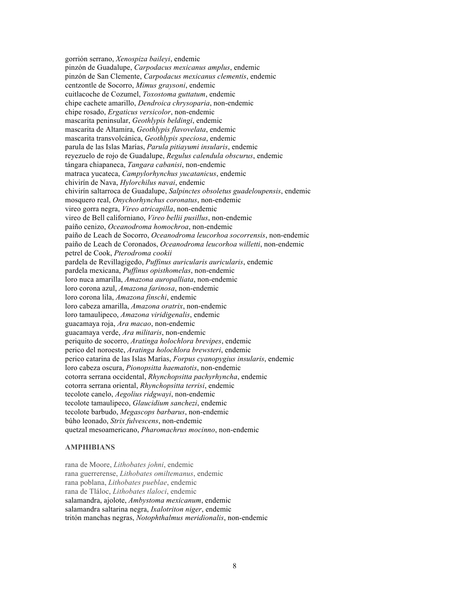gorrión serrano, *Xenospiza baileyi*, endemic pinzón de Guadalupe, *Carpodacus mexicanus amplus*, endemic pinzón de San Clemente, *Carpodacus mexicanus clementis*, endemic centzontle de Socorro, *Mimus graysoni*, endemic cuitlacoche de Cozumel, *Toxostoma guttatum*, endemic chipe cachete amarillo, *Dendroica chrysoparia*, non-endemic chipe rosado, *Ergaticus versicolor*, non-endemic mascarita peninsular, *Geothlypis beldingi*, endemic mascarita de Altamira, *Geothlypis flavovelata*, endemic mascarita transvolcánica, *Geothlypis speciosa*, endemic parula de las Islas Marías, *Parula pitiayumi insularis*, endemic reyezuelo de rojo de Guadalupe, *Regulus calendula obscurus*, endemic tángara chiapaneca, *Tangara cabanisi*, non-endemic matraca yucateca, *Campylorhynchus yucatanicus*, endemic chivirín de Nava, *Hylorchilus navai*, endemic chivirín saltarroca de Guadalupe, *Salpinctes obsoletus guadeloupensis*, endemic mosquero real, *Onychorhynchus coronatus*, non-endemic vireo gorra negra, *Vireo atricapilla*, non-endemic vireo de Bell californiano, *Vireo bellii pusillus*, non-endemic paíño cenizo, *Oceanodroma homochroa*, non-endemic paíño de Leach de Socorro, *Oceanodroma leucorhoa socorrensis*, non-endemic paíño de Leach de Coronados, *Oceanodroma leucorhoa willetti*, non-endemic petrel de Cook, *Pterodroma cookii* pardela de Revillagigedo, *Puffinus auricularis auricularis*, endemic pardela mexicana, *Puffinus opisthomelas*, non-endemic loro nuca amarilla, *Amazona auropalliata*, non-endemic loro corona azul, *Amazona farinosa*, non-endemic loro corona lila, *Amazona finschi*, endemic loro cabeza amarilla, *Amazona oratrix*, non-endemic loro tamaulipeco, *Amazona viridigenalis*, endemic guacamaya roja, *Ara macao*, non-endemic guacamaya verde, *Ara militaris*, non-endemic periquito de socorro, *Aratinga holochlora brevipes*, endemic perico del noroeste, *Aratinga holochlora brewsteri*, endemic perico catarina de las Islas Marías, *Forpus cyanopygius insularis*, endemic loro cabeza oscura, *Pionopsitta haematotis*, non-endemic cotorra serrana occidental, *Rhynchopsitta pachyrhyncha*, endemic cotorra serrana oriental, *Rhynchopsitta terrisi*, endemic tecolote canelo, *Aegolius ridgwayi*, non-endemic tecolote tamaulipeco, *Glaucidium sanchezi*, endemic tecolote barbudo, *Megascops barbarus*, non-endemic búho leonado, *Strix fulvescens*, non-endemic quetzal mesoamericano, *Pharomachrus mocinno*, non-endemic

# **AMPHIBIANS**

rana de Moore, *Lithobates johni*, endemic rana guerrerense, *Lithobates omiltemanus*, endemic rana poblana, *Lithobates pueblae*, endemic rana de Tláloc, *Lithobates tlaloci*, endemic salamandra, ajolote, *Ambystoma mexicanum*, endemic salamandra saltarina negra, *Ixalotriton niger*, endemic tritón manchas negras, *Notophthalmus meridionalis*, non-endemic